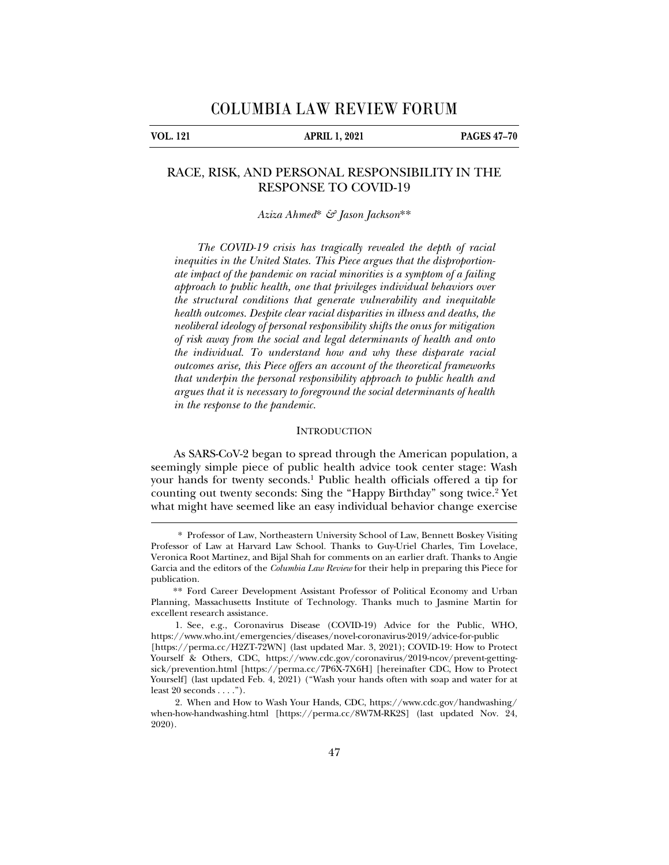**VOL. 121 APRIL 1, 2021 PAGES 47–70** 

# RACE, RISK, AND PERSONAL RESPONSIBILITY IN THE RESPONSE TO COVID-19

*Aziza Ahmed*\* *& Jason Jackson*\*\*

*The COVID-19 crisis has tragically revealed the depth of racial inequities in the United States. This Piece argues that the disproportionate impact of the pandemic on racial minorities is a symptom of a failing approach to public health, one that privileges individual behaviors over the structural conditions that generate vulnerability and inequitable health outcomes. Despite clear racial disparities in illness and deaths, the neoliberal ideology of personal responsibility shifts the onus for mitigation of risk away from the social and legal determinants of health and onto the individual. To understand how and why these disparate racial outcomes arise, this Piece offers an account of the theoretical frameworks that underpin the personal responsibility approach to public health and argues that it is necessary to foreground the social determinants of health in the response to the pandemic.* 

## **INTRODUCTION**

As SARS-CoV-2 began to spread through the American population, a seemingly simple piece of public health advice took center stage: Wash your hands for twenty seconds.1 Public health officials offered a tip for counting out twenty seconds: Sing the "Happy Birthday" song twice.<sup>2</sup> Yet what might have seemed like an easy individual behavior change exercise

<sup>\*</sup> Professor of Law, Northeastern University School of Law, Bennett Boskey Visiting Professor of Law at Harvard Law School. Thanks to Guy-Uriel Charles, Tim Lovelace, Veronica Root Martinez, and Bijal Shah for comments on an earlier draft. Thanks to Angie Garcia and the editors of the *Columbia Law Review* for their help in preparing this Piece for publication.

<sup>\*\*</sup> Ford Career Development Assistant Professor of Political Economy and Urban Planning, Massachusetts Institute of Technology. Thanks much to Jasmine Martin for excellent research assistance.

 <sup>1.</sup> See, e.g., Coronavirus Disease (COVID-19) Advice for the Public, WHO, https://www.who.int/emergencies/diseases/novel-coronavirus-2019/advice-for-public [https://perma.cc/H2ZT-72WN] (last updated Mar. 3, 2021); COVID-19: How to Protect Yourself & Others, CDC, https://www.cdc.gov/coronavirus/2019-ncov/prevent-gettingsick/prevention.html [https://perma.cc/7P6X-7X6H] [hereinafter CDC, How to Protect Yourself] (last updated Feb. 4, 2021) ("Wash your hands often with soap and water for at

least 20 seconds . . . .").

 <sup>2.</sup> When and How to Wash Your Hands, CDC, https://www.cdc.gov/handwashing/ when-how-handwashing.html [https://perma.cc/8W7M-RK2S] (last updated Nov. 24, 2020).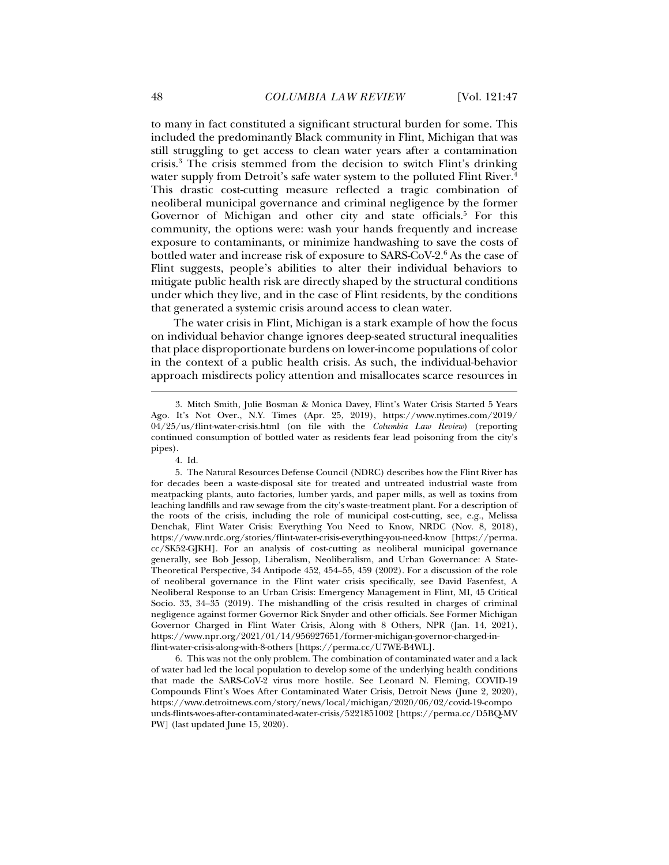to many in fact constituted a significant structural burden for some. This included the predominantly Black community in Flint, Michigan that was still struggling to get access to clean water years after a contamination crisis.3 The crisis stemmed from the decision to switch Flint's drinking water supply from Detroit's safe water system to the polluted Flint River.<sup>4</sup> This drastic cost-cutting measure reflected a tragic combination of neoliberal municipal governance and criminal negligence by the former Governor of Michigan and other city and state officials.<sup>5</sup> For this community, the options were: wash your hands frequently and increase exposure to contaminants, or minimize handwashing to save the costs of bottled water and increase risk of exposure to SARS-CoV-2.<sup>6</sup> As the case of Flint suggests, people's abilities to alter their individual behaviors to mitigate public health risk are directly shaped by the structural conditions under which they live, and in the case of Flint residents, by the conditions that generated a systemic crisis around access to clean water.

The water crisis in Flint, Michigan is a stark example of how the focus on individual behavior change ignores deep-seated structural inequalities that place disproportionate burdens on lower-income populations of color in the context of a public health crisis. As such, the individual-behavior approach misdirects policy attention and misallocates scarce resources in

j

 6. This was not the only problem. The combination of contaminated water and a lack of water had led the local population to develop some of the underlying health conditions that made the SARS-CoV-2 virus more hostile. See Leonard N. Fleming, COVID-19 Compounds Flint's Woes After Contaminated Water Crisis, Detroit News (June 2, 2020), https://www.detroitnews.com/story/news/local/michigan/2020/06/02/covid-19-compo unds-flints-woes-after-contaminated-water-crisis/5221851002 [https://perma.cc/D5BQ-MV PW] (last updated June 15, 2020).

 <sup>3.</sup> Mitch Smith, Julie Bosman & Monica Davey, Flint's Water Crisis Started 5 Years Ago. It's Not Over., N.Y. Times (Apr. 25, 2019), https://www.nytimes.com/2019/ 04/25/us/flint-water-crisis.html (on file with the *Columbia Law Review*) (reporting continued consumption of bottled water as residents fear lead poisoning from the city's pipes).

 <sup>4.</sup> Id.

 <sup>5.</sup> The Natural Resources Defense Council (NDRC) describes how the Flint River has for decades been a waste-disposal site for treated and untreated industrial waste from meatpacking plants, auto factories, lumber yards, and paper mills, as well as toxins from leaching landfills and raw sewage from the city's waste-treatment plant. For a description of the roots of the crisis, including the role of municipal cost-cutting, see, e.g., Melissa Denchak, Flint Water Crisis: Everything You Need to Know, NRDC (Nov. 8, 2018), https://www.nrdc.org/stories/flint-water-crisis-everything-you-need-know [https://perma. cc/SK52-GJKH]. For an analysis of cost-cutting as neoliberal municipal governance generally, see Bob Jessop, Liberalism, Neoliberalism, and Urban Governance: A State-Theoretical Perspective, 34 Antipode 452, 454–55, 459 (2002). For a discussion of the role of neoliberal governance in the Flint water crisis specifically, see David Fasenfest, A Neoliberal Response to an Urban Crisis: Emergency Management in Flint, MI, 45 Critical Socio. 33, 34–35 (2019). The mishandling of the crisis resulted in charges of criminal negligence against former Governor Rick Snyder and other officials. See Former Michigan Governor Charged in Flint Water Crisis, Along with 8 Others, NPR (Jan. 14, 2021), https://www.npr.org/2021/01/14/956927651/former-michigan-governor-charged-inflint-water-crisis-along-with-8-others [https://perma.cc/U7WE-B4WL].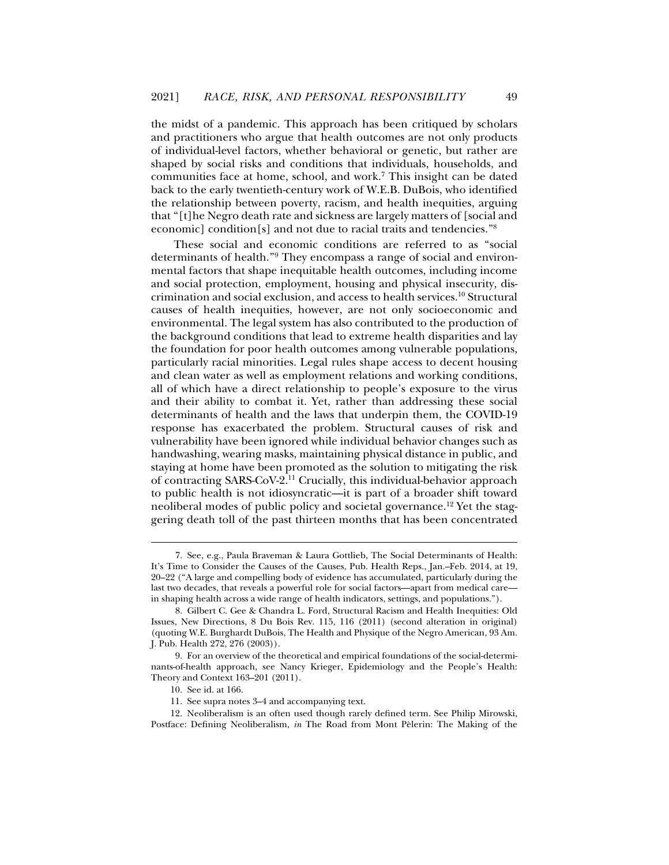the midst of a pandemic. This approach has been critiqued by scholars and practitioners who argue that health outcomes are not only products of individual-level factors, whether behavioral or genetic, but rather are shaped by social risks and conditions that individuals, households, and communities face at home, school, and work.<sup>7</sup> This insight can be dated back to the early twentieth-century work of W.E.B. DuBois, who identified the relationship between poverty, racism, and health inequities, arguing that "[t]he Negro death rate and sickness are largely matters of [social and economic] condition[s] and not due to racial traits and tendencies."8

These social and economic conditions are referred to as "social determinants of health."9 They encompass a range of social and environmental factors that shape inequitable health outcomes, including income and social protection, employment, housing and physical insecurity, discrimination and social exclusion, and access to health services.10 Structural causes of health inequities, however, are not only socioeconomic and environmental. The legal system has also contributed to the production of the background conditions that lead to extreme health disparities and lay the foundation for poor health outcomes among vulnerable populations, particularly racial minorities. Legal rules shape access to decent housing and clean water as well as employment relations and working conditions, all of which have a direct relationship to people's exposure to the virus and their ability to combat it. Yet, rather than addressing these social determinants of health and the laws that underpin them, the COVID-19 response has exacerbated the problem. Structural causes of risk and vulnerability have been ignored while individual behavior changes such as handwashing, wearing masks, maintaining physical distance in public, and staying at home have been promoted as the solution to mitigating the risk of contracting SARS-CoV-2.11 Crucially, this individual-behavior approach to public health is not idiosyncratic—it is part of a broader shift toward neoliberal modes of public policy and societal governance.12 Yet the staggering death toll of the past thirteen months that has been concentrated

 <sup>7.</sup> See, e.g., Paula Braveman & Laura Gottlieb, The Social Determinants of Health: It's Time to Consider the Causes of the Causes, Pub. Health Reps., Jan.–Feb. 2014, at 19, 20–22 ("A large and compelling body of evidence has accumulated, particularly during the last two decades, that reveals a powerful role for social factors—apart from medical care in shaping health across a wide range of health indicators, settings, and populations.").

 <sup>8.</sup> Gilbert C. Gee & Chandra L. Ford, Structural Racism and Health Inequities: Old Issues, New Directions, 8 Du Bois Rev. 115, 116 (2011) (second alteration in original) (quoting W.E. Burghardt DuBois, The Health and Physique of the Negro American, 93 Am. J. Pub. Health 272, 276 (2003)).

 <sup>9.</sup> For an overview of the theoretical and empirical foundations of the social-determinants-of-health approach, see Nancy Krieger, Epidemiology and the People's Health: Theory and Context 163–201 (2011).

 <sup>10.</sup> See id. at 166.

 <sup>11.</sup> See supra notes 3–4 and accompanying text.

 <sup>12.</sup> Neoliberalism is an often used though rarely defined term. See Philip Mirowski, Postface: Defining Neoliberalism, *in* The Road from Mont Pèlerin: The Making of the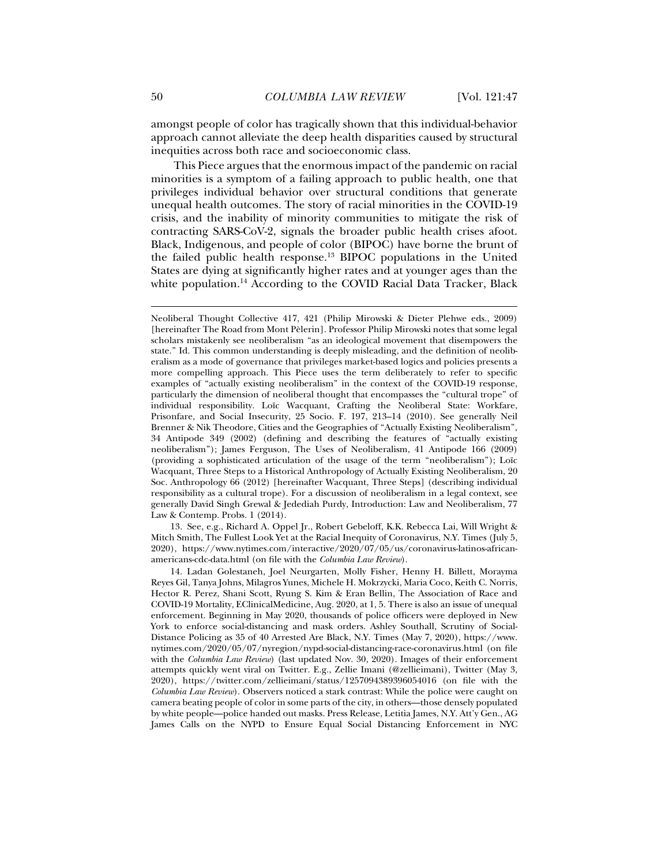amongst people of color has tragically shown that this individual-behavior approach cannot alleviate the deep health disparities caused by structural inequities across both race and socioeconomic class.

This Piece argues that the enormous impact of the pandemic on racial minorities is a symptom of a failing approach to public health, one that privileges individual behavior over structural conditions that generate unequal health outcomes. The story of racial minorities in the COVID-19 crisis, and the inability of minority communities to mitigate the risk of contracting SARS-CoV-2, signals the broader public health crises afoot. Black, Indigenous, and people of color (BIPOC) have borne the brunt of the failed public health response.13 BIPOC populations in the United States are dying at significantly higher rates and at younger ages than the white population.<sup>14</sup> According to the COVID Racial Data Tracker, Black

 13. See, e.g., Richard A. Oppel Jr., Robert Gebeloff, K.K. Rebecca Lai, Will Wright & Mitch Smith, The Fullest Look Yet at the Racial Inequity of Coronavirus, N.Y. Times (July 5, 2020), https://www.nytimes.com/interactive/2020/07/05/us/coronavirus-latinos-africanamericans-cdc-data.html (on file with the *Columbia Law Review*).

 14. Ladan Golestaneh, Joel Neurgarten, Molly Fisher, Henny H. Billett, Morayma Reyes Gil, Tanya Johns, Milagros Yunes, Michele H. Mokrzycki, Maria Coco, Keith C. Norris, Hector R. Perez, Shani Scott, Ryung S. Kim & Eran Bellin, The Association of Race and COVID-19 Mortality, EClinicalMedicine, Aug. 2020, at 1, 5. There is also an issue of unequal enforcement. Beginning in May 2020, thousands of police officers were deployed in New York to enforce social-distancing and mask orders. Ashley Southall, Scrutiny of Social-Distance Policing as 35 of 40 Arrested Are Black, N.Y. Times (May 7, 2020), https://www. nytimes.com/2020/05/07/nyregion/nypd-social-distancing-race-coronavirus.html (on file with the *Columbia Law Review*) (last updated Nov. 30, 2020). Images of their enforcement attempts quickly went viral on Twitter. E.g., Zellie Imani (@zellieimani), Twitter (May 3, 2020), https://twitter.com/zellieimani/status/1257094389396054016 (on file with the *Columbia Law Review*). Observers noticed a stark contrast: While the police were caught on camera beating people of color in some parts of the city, in others—those densely populated by white people—police handed out masks. Press Release, Letitia James, N.Y. Att'y Gen., AG James Calls on the NYPD to Ensure Equal Social Distancing Enforcement in NYC

Neoliberal Thought Collective 417, 421 (Philip Mirowski & Dieter Plehwe eds., 2009) [hereinafter The Road from Mont Pèlerin]. Professor Philip Mirowski notes that some legal scholars mistakenly see neoliberalism "as an ideological movement that disempowers the state." Id. This common understanding is deeply misleading, and the definition of neoliberalism as a mode of governance that privileges market-based logics and policies presents a more compelling approach. This Piece uses the term deliberately to refer to specific examples of "actually existing neoliberalism" in the context of the COVID-19 response, particularly the dimension of neoliberal thought that encompasses the "cultural trope" of individual responsibility. Loïc Wacquant, Crafting the Neoliberal State: Workfare, Prisonfare, and Social Insecurity, 25 Socio. F. 197, 213–14 (2010). See generally Neil Brenner & Nik Theodore, Cities and the Geographies of "Actually Existing Neoliberalism", 34 Antipode 349 (2002) (defining and describing the features of "actually existing neoliberalism"); James Ferguson, The Uses of Neoliberalism, 41 Antipode 166 (2009) (providing a sophisticated articulation of the usage of the term "neoliberalism"); Loïc Wacquant, Three Steps to a Historical Anthropology of Actually Existing Neoliberalism, 20 Soc. Anthropology 66 (2012) [hereinafter Wacquant, Three Steps] (describing individual responsibility as a cultural trope). For a discussion of neoliberalism in a legal context, see generally David Singh Grewal & Jedediah Purdy, Introduction: Law and Neoliberalism, 77 Law & Contemp. Probs. 1 (2014).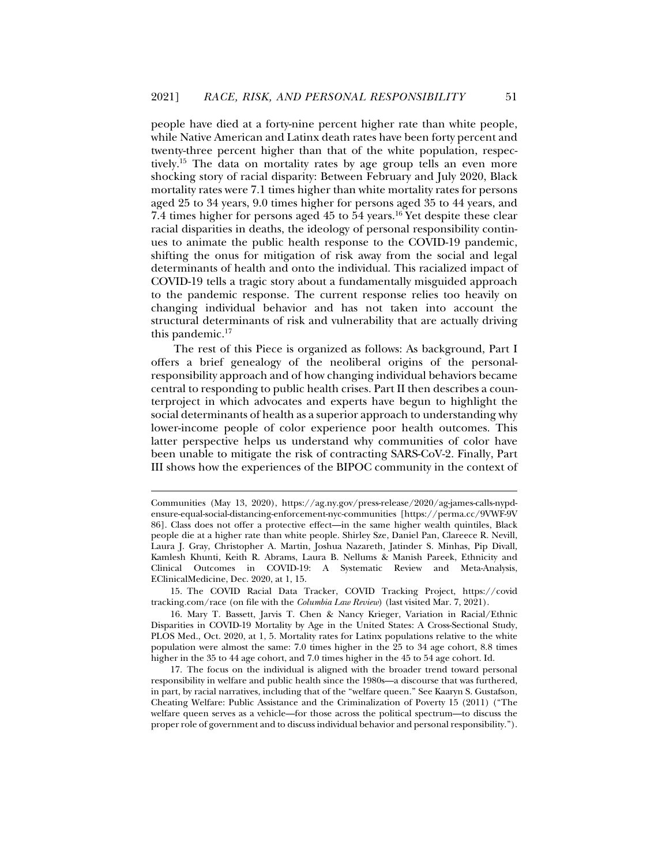people have died at a forty-nine percent higher rate than white people, while Native American and Latinx death rates have been forty percent and twenty-three percent higher than that of the white population, respectively.15 The data on mortality rates by age group tells an even more shocking story of racial disparity: Between February and July 2020, Black mortality rates were 7.1 times higher than white mortality rates for persons aged 25 to 34 years, 9.0 times higher for persons aged 35 to 44 years, and 7.4 times higher for persons aged 45 to 54 years.16 Yet despite these clear racial disparities in deaths, the ideology of personal responsibility continues to animate the public health response to the COVID-19 pandemic, shifting the onus for mitigation of risk away from the social and legal determinants of health and onto the individual. This racialized impact of COVID-19 tells a tragic story about a fundamentally misguided approach to the pandemic response. The current response relies too heavily on changing individual behavior and has not taken into account the structural determinants of risk and vulnerability that are actually driving this pandemic.17

The rest of this Piece is organized as follows: As background, Part I offers a brief genealogy of the neoliberal origins of the personalresponsibility approach and of how changing individual behaviors became central to responding to public health crises. Part II then describes a counterproject in which advocates and experts have begun to highlight the social determinants of health as a superior approach to understanding why lower-income people of color experience poor health outcomes. This latter perspective helps us understand why communities of color have been unable to mitigate the risk of contracting SARS-CoV-2. Finally, Part III shows how the experiences of the BIPOC community in the context of

Communities (May 13, 2020), https://ag.ny.gov/press-release/2020/ag-james-calls-nypdensure-equal-social-distancing-enforcement-nyc-communities [https://perma.cc/9VWF-9V 86]. Class does not offer a protective effect—in the same higher wealth quintiles, Black people die at a higher rate than white people. Shirley Sze, Daniel Pan, Clareece R. Nevill, Laura J. Gray, Christopher A. Martin, Joshua Nazareth, Jatinder S. Minhas, Pip Divall, Kamlesh Khunti, Keith R. Abrams, Laura B. Nellums & Manish Pareek, Ethnicity and Clinical Outcomes in COVID-19: A Systematic Review and Meta-Analysis, EClinicalMedicine, Dec. 2020, at 1, 15.

 <sup>15.</sup> The COVID Racial Data Tracker, COVID Tracking Project, https://covid tracking.com/race (on file with the *Columbia Law Review*) (last visited Mar. 7, 2021).

 <sup>16.</sup> Mary T. Bassett, Jarvis T. Chen & Nancy Krieger, Variation in Racial/Ethnic Disparities in COVID-19 Mortality by Age in the United States: A Cross-Sectional Study, PLOS Med., Oct. 2020, at 1, 5. Mortality rates for Latinx populations relative to the white population were almost the same: 7.0 times higher in the 25 to 34 age cohort, 8.8 times higher in the 35 to 44 age cohort, and 7.0 times higher in the 45 to 54 age cohort. Id.

 <sup>17.</sup> The focus on the individual is aligned with the broader trend toward personal responsibility in welfare and public health since the 1980s—a discourse that was furthered, in part, by racial narratives, including that of the "welfare queen." See Kaaryn S. Gustafson, Cheating Welfare: Public Assistance and the Criminalization of Poverty 15 (2011) ("The welfare queen serves as a vehicle—for those across the political spectrum—to discuss the proper role of government and to discuss individual behavior and personal responsibility.").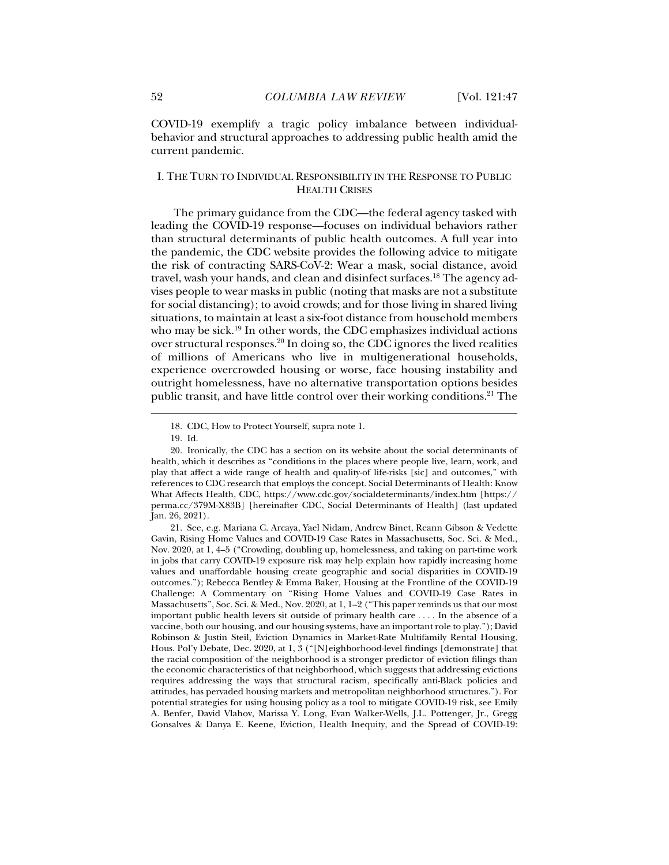COVID-19 exemplify a tragic policy imbalance between individualbehavior and structural approaches to addressing public health amid the current pandemic.

## I. THE TURN TO INDIVIDUAL RESPONSIBILITY IN THE RESPONSE TO PUBLIC HEALTH CRISES

The primary guidance from the CDC—the federal agency tasked with leading the COVID-19 response—focuses on individual behaviors rather than structural determinants of public health outcomes. A full year into the pandemic, the CDC website provides the following advice to mitigate the risk of contracting SARS-CoV-2: Wear a mask, social distance, avoid travel, wash your hands, and clean and disinfect surfaces.18 The agency advises people to wear masks in public (noting that masks are not a substitute for social distancing); to avoid crowds; and for those living in shared living situations, to maintain at least a six-foot distance from household members who may be sick.<sup>19</sup> In other words, the CDC emphasizes individual actions over structural responses.20 In doing so, the CDC ignores the lived realities of millions of Americans who live in multigenerational households, experience overcrowded housing or worse, face housing instability and outright homelessness, have no alternative transportation options besides public transit, and have little control over their working conditions.<sup>21</sup> The

 <sup>18.</sup> CDC, How to Protect Yourself, supra note 1.

 <sup>19.</sup> Id.

 <sup>20.</sup> Ironically, the CDC has a section on its website about the social determinants of health, which it describes as "conditions in the places where people live, learn, work, and play that affect a wide range of health and quality-of life-risks [sic] and outcomes," with references to CDC research that employs the concept. Social Determinants of Health: Know What Affects Health, CDC, https://www.cdc.gov/socialdeterminants/index.htm [https:// perma.cc/379M-X83B] [hereinafter CDC, Social Determinants of Health] (last updated Jan. 26, 2021).

 <sup>21.</sup> See, e.g. Mariana C. Arcaya, Yael Nidam, Andrew Binet, Reann Gibson & Vedette Gavin, Rising Home Values and COVID-19 Case Rates in Massachusetts, Soc. Sci. & Med., Nov. 2020, at 1, 4–5 ("Crowding, doubling up, homelessness, and taking on part-time work in jobs that carry COVID-19 exposure risk may help explain how rapidly increasing home values and unaffordable housing create geographic and social disparities in COVID-19 outcomes."); Rebecca Bentley & Emma Baker, Housing at the Frontline of the COVID-19 Challenge: A Commentary on "Rising Home Values and COVID-19 Case Rates in Massachusetts", Soc. Sci. & Med., Nov. 2020, at 1, 1–2 ("This paper reminds us that our most important public health levers sit outside of primary health care . . . . In the absence of a vaccine, both our housing, and our housing systems, have an important role to play."); David Robinson & Justin Steil, Eviction Dynamics in Market-Rate Multifamily Rental Housing, Hous. Pol'y Debate, Dec. 2020, at 1, 3 ("[N]eighborhood-level findings [demonstrate] that the racial composition of the neighborhood is a stronger predictor of eviction filings than the economic characteristics of that neighborhood, which suggests that addressing evictions requires addressing the ways that structural racism, specifically anti-Black policies and attitudes, has pervaded housing markets and metropolitan neighborhood structures."). For potential strategies for using housing policy as a tool to mitigate COVID-19 risk, see Emily A. Benfer, David Vlahov, Marissa Y. Long, Evan Walker-Wells, J.L. Pottenger, Jr., Gregg Gonsalves & Danya E. Keene, Eviction, Health Inequity, and the Spread of COVID-19: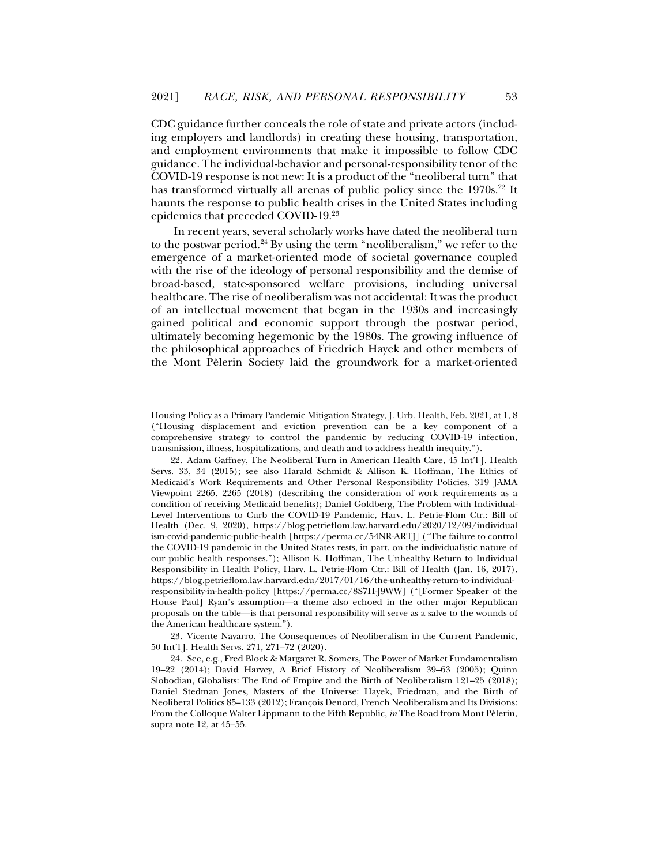CDC guidance further conceals the role of state and private actors (including employers and landlords) in creating these housing, transportation, and employment environments that make it impossible to follow CDC guidance. The individual-behavior and personal-responsibility tenor of the COVID-19 response is not new: It is a product of the "neoliberal turn" that has transformed virtually all arenas of public policy since the 1970s.<sup>22</sup> It haunts the response to public health crises in the United States including epidemics that preceded COVID-19.23

In recent years, several scholarly works have dated the neoliberal turn to the postwar period.<sup>24</sup> By using the term "neoliberalism," we refer to the emergence of a market-oriented mode of societal governance coupled with the rise of the ideology of personal responsibility and the demise of broad-based, state-sponsored welfare provisions, including universal healthcare. The rise of neoliberalism was not accidental: It was the product of an intellectual movement that began in the 1930s and increasingly gained political and economic support through the postwar period, ultimately becoming hegemonic by the 1980s. The growing influence of the philosophical approaches of Friedrich Hayek and other members of the Mont Pèlerin Society laid the groundwork for a market-oriented

j

 23. Vicente Navarro, The Consequences of Neoliberalism in the Current Pandemic, 50 Int'l J. Health Servs. 271, 271–72 (2020).

Housing Policy as a Primary Pandemic Mitigation Strategy, J. Urb. Health, Feb. 2021, at 1, 8 ("Housing displacement and eviction prevention can be a key component of a comprehensive strategy to control the pandemic by reducing COVID-19 infection, transmission, illness, hospitalizations, and death and to address health inequity.").

 <sup>22.</sup> Adam Gaffney, The Neoliberal Turn in American Health Care, 45 Int'l J. Health Servs. 33, 34 (2015); see also Harald Schmidt & Allison K. Hoffman, The Ethics of Medicaid's Work Requirements and Other Personal Responsibility Policies, 319 JAMA Viewpoint 2265, 2265 (2018) (describing the consideration of work requirements as a condition of receiving Medicaid benefits); Daniel Goldberg, The Problem with Individual-Level Interventions to Curb the COVID-19 Pandemic, Harv. L. Petrie-Flom Ctr.: Bill of Health (Dec. 9, 2020), https://blog.petrieflom.law.harvard.edu/2020/12/09/individual ism-covid-pandemic-public-health [https://perma.cc/54NR-ARTJ] ("The failure to control the COVID-19 pandemic in the United States rests, in part, on the individualistic nature of our public health responses."); Allison K. Hoffman, The Unhealthy Return to Individual Responsibility in Health Policy, Harv. L. Petrie-Flom Ctr.: Bill of Health (Jan. 16, 2017), https://blog.petrieflom.law.harvard.edu/2017/01/16/the-unhealthy-return-to-individualresponsibility-in-health-policy [https://perma.cc/8S7H-J9WW] ("[Former Speaker of the House Paul] Ryan's assumption—a theme also echoed in the other major Republican proposals on the table—is that personal responsibility will serve as a salve to the wounds of the American healthcare system.").

 <sup>24.</sup> See, e.g., Fred Block & Margaret R. Somers, The Power of Market Fundamentalism 19–22 (2014); David Harvey, A Brief History of Neoliberalism 39–63 (2005); Quinn Slobodian, Globalists: The End of Empire and the Birth of Neoliberalism 121–25 (2018); Daniel Stedman Jones, Masters of the Universe: Hayek, Friedman, and the Birth of Neoliberal Politics 85–133 (2012); François Denord, French Neoliberalism and Its Divisions: From the Colloque Walter Lippmann to the Fifth Republic, *in* The Road from Mont Pèlerin, supra note 12, at 45–55.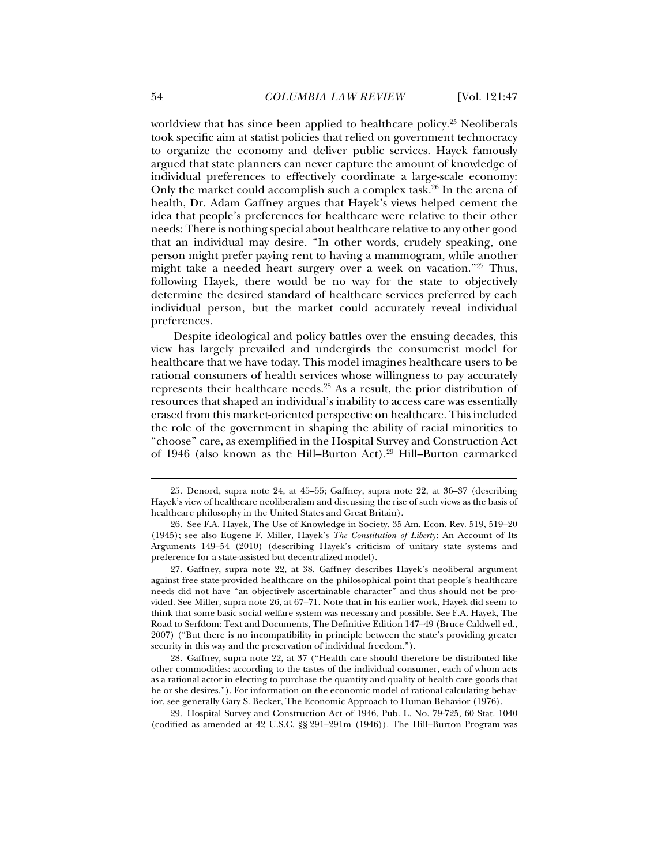worldview that has since been applied to healthcare policy.<sup>25</sup> Neoliberals took specific aim at statist policies that relied on government technocracy to organize the economy and deliver public services. Hayek famously argued that state planners can never capture the amount of knowledge of individual preferences to effectively coordinate a large-scale economy: Only the market could accomplish such a complex task.<sup>26</sup> In the arena of health, Dr. Adam Gaffney argues that Hayek's views helped cement the idea that people's preferences for healthcare were relative to their other needs: There is nothing special about healthcare relative to any other good that an individual may desire. "In other words, crudely speaking, one person might prefer paying rent to having a mammogram, while another might take a needed heart surgery over a week on vacation."27 Thus, following Hayek, there would be no way for the state to objectively determine the desired standard of healthcare services preferred by each individual person, but the market could accurately reveal individual preferences.

Despite ideological and policy battles over the ensuing decades, this view has largely prevailed and undergirds the consumerist model for healthcare that we have today. This model imagines healthcare users to be rational consumers of health services whose willingness to pay accurately represents their healthcare needs.28 As a result, the prior distribution of resources that shaped an individual's inability to access care was essentially erased from this market-oriented perspective on healthcare. This included the role of the government in shaping the ability of racial minorities to "choose" care, as exemplified in the Hospital Survey and Construction Act of 1946 (also known as the Hill–Burton Act).29 Hill–Burton earmarked

 <sup>25.</sup> Denord, supra note 24, at 45–55; Gaffney, supra note 22, at 36–37 (describing Hayek's view of healthcare neoliberalism and discussing the rise of such views as the basis of healthcare philosophy in the United States and Great Britain).

 <sup>26.</sup> See F.A. Hayek, The Use of Knowledge in Society, 35 Am. Econ. Rev. 519, 519–20 (1945); see also Eugene F. Miller, Hayek's *The Constitution of Liberty*: An Account of Its Arguments 149–54 (2010) (describing Hayek's criticism of unitary state systems and preference for a state-assisted but decentralized model).

 <sup>27.</sup> Gaffney, supra note 22, at 38. Gaffney describes Hayek's neoliberal argument against free state-provided healthcare on the philosophical point that people's healthcare needs did not have "an objectively ascertainable character" and thus should not be provided. See Miller, supra note 26, at 67–71. Note that in his earlier work, Hayek did seem to think that some basic social welfare system was necessary and possible. See F.A. Hayek, The Road to Serfdom: Text and Documents, The Definitive Edition 147–49 (Bruce Caldwell ed., 2007) ("But there is no incompatibility in principle between the state's providing greater security in this way and the preservation of individual freedom.").

 <sup>28.</sup> Gaffney, supra note 22, at 37 ("Health care should therefore be distributed like other commodities: according to the tastes of the individual consumer, each of whom acts as a rational actor in electing to purchase the quantity and quality of health care goods that he or she desires."). For information on the economic model of rational calculating behavior, see generally Gary S. Becker, The Economic Approach to Human Behavior (1976).

 <sup>29.</sup> Hospital Survey and Construction Act of 1946, Pub. L. No. 79-725, 60 Stat. 1040 (codified as amended at 42 U.S.C. §§ 291–291m (1946)). The Hill–Burton Program was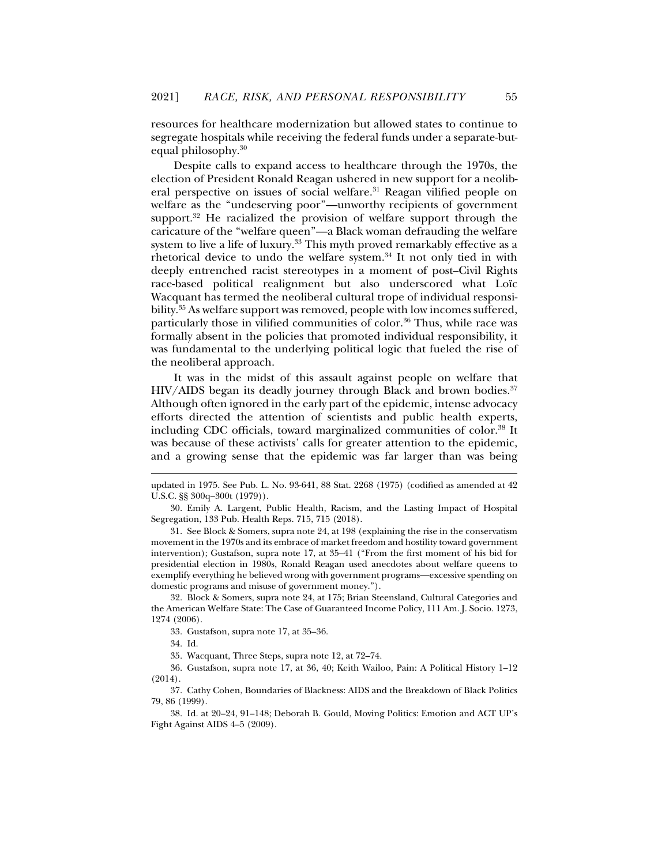resources for healthcare modernization but allowed states to continue to segregate hospitals while receiving the federal funds under a separate-butequal philosophy.30

Despite calls to expand access to healthcare through the 1970s, the election of President Ronald Reagan ushered in new support for a neoliberal perspective on issues of social welfare.<sup>31</sup> Reagan vilified people on welfare as the "undeserving poor"—unworthy recipients of government support.<sup>32</sup> He racialized the provision of welfare support through the caricature of the "welfare queen"—a Black woman defrauding the welfare system to live a life of luxury.<sup>33</sup> This myth proved remarkably effective as a rhetorical device to undo the welfare system.<sup>34</sup> It not only tied in with deeply entrenched racist stereotypes in a moment of post–Civil Rights race-based political realignment but also underscored what Loïc Wacquant has termed the neoliberal cultural trope of individual responsibility.35 As welfare support was removed, people with low incomes suffered, particularly those in vilified communities of color.<sup>36</sup> Thus, while race was formally absent in the policies that promoted individual responsibility, it was fundamental to the underlying political logic that fueled the rise of the neoliberal approach.

It was in the midst of this assault against people on welfare that  $HIV/ALDS$  began its deadly journey through Black and brown bodies. $37$ Although often ignored in the early part of the epidemic, intense advocacy efforts directed the attention of scientists and public health experts, including CDC officials, toward marginalized communities of color.38 It was because of these activists' calls for greater attention to the epidemic, and a growing sense that the epidemic was far larger than was being

 32. Block & Somers, supra note 24, at 175; Brian Steensland, Cultural Categories and the American Welfare State: The Case of Guaranteed Income Policy, 111 Am. J. Socio. 1273, 1274 (2006).

33. Gustafson, supra note 17, at 35–36.

34. Id.

j

35. Wacquant, Three Steps, supra note 12, at 72–74.

 36. Gustafson, supra note 17, at 36, 40; Keith Wailoo, Pain: A Political History 1–12 (2014).

 37. Cathy Cohen, Boundaries of Blackness: AIDS and the Breakdown of Black Politics 79, 86 (1999).

 38. Id. at 20–24, 91–148; Deborah B. Gould, Moving Politics: Emotion and ACT UP's Fight Against AIDS 4–5 (2009).

updated in 1975. See Pub. L. No. 93-641, 88 Stat. 2268 (1975) (codified as amended at 42 U.S.C. §§ 300q–300t (1979)).

 <sup>30.</sup> Emily A. Largent, Public Health, Racism, and the Lasting Impact of Hospital Segregation, 133 Pub. Health Reps. 715, 715 (2018).

 <sup>31.</sup> See Block & Somers, supra note 24, at 198 (explaining the rise in the conservatism movement in the 1970s and its embrace of market freedom and hostility toward government intervention); Gustafson, supra note 17, at 35–41 ("From the first moment of his bid for presidential election in 1980s, Ronald Reagan used anecdotes about welfare queens to exemplify everything he believed wrong with government programs—excessive spending on domestic programs and misuse of government money.").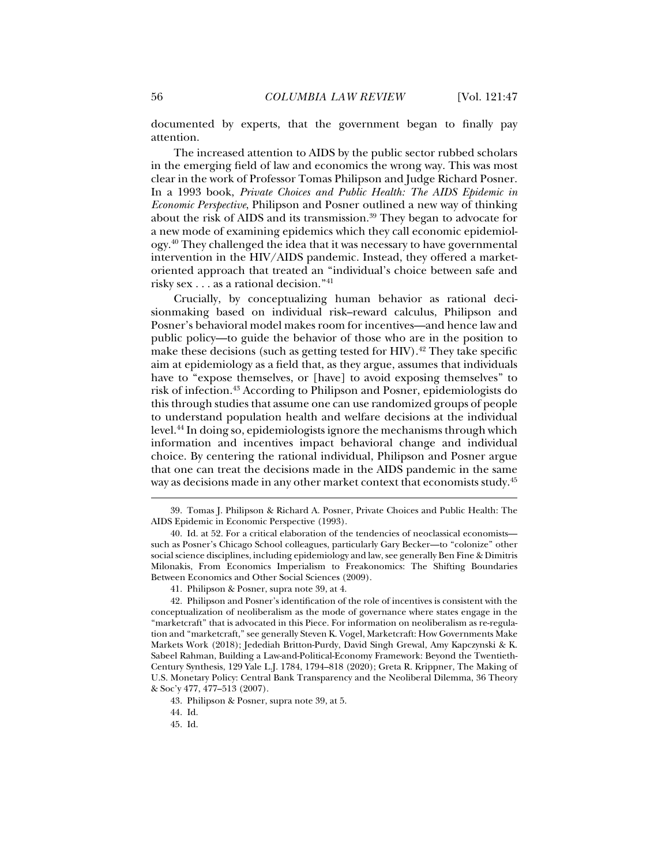documented by experts, that the government began to finally pay attention.

The increased attention to AIDS by the public sector rubbed scholars in the emerging field of law and economics the wrong way. This was most clear in the work of Professor Tomas Philipson and Judge Richard Posner. In a 1993 book, *Private Choices and Public Health: The AIDS Epidemic in Economic Perspective*, Philipson and Posner outlined a new way of thinking about the risk of AIDS and its transmission.<sup>39</sup> They began to advocate for a new mode of examining epidemics which they call economic epidemiology.40 They challenged the idea that it was necessary to have governmental intervention in the HIV/AIDS pandemic. Instead, they offered a marketoriented approach that treated an "individual's choice between safe and risky sex . . . as a rational decision."41

Crucially, by conceptualizing human behavior as rational decisionmaking based on individual risk–reward calculus, Philipson and Posner's behavioral model makes room for incentives—and hence law and public policy—to guide the behavior of those who are in the position to make these decisions (such as getting tested for HIV).<sup>42</sup> They take specific aim at epidemiology as a field that, as they argue, assumes that individuals have to "expose themselves, or [have] to avoid exposing themselves" to risk of infection.43 According to Philipson and Posner, epidemiologists do this through studies that assume one can use randomized groups of people to understand population health and welfare decisions at the individual level.44 In doing so, epidemiologists ignore the mechanisms through which information and incentives impact behavioral change and individual choice. By centering the rational individual, Philipson and Posner argue that one can treat the decisions made in the AIDS pandemic in the same way as decisions made in any other market context that economists study.45

 <sup>39.</sup> Tomas J. Philipson & Richard A. Posner, Private Choices and Public Health: The AIDS Epidemic in Economic Perspective (1993).

 <sup>40.</sup> Id. at 52. For a critical elaboration of the tendencies of neoclassical economists such as Posner's Chicago School colleagues, particularly Gary Becker—to "colonize" other social science disciplines, including epidemiology and law, see generally Ben Fine & Dimitris Milonakis, From Economics Imperialism to Freakonomics: The Shifting Boundaries Between Economics and Other Social Sciences (2009).

 <sup>41.</sup> Philipson & Posner, supra note 39, at 4.

 <sup>42.</sup> Philipson and Posner's identification of the role of incentives is consistent with the conceptualization of neoliberalism as the mode of governance where states engage in the "marketcraft" that is advocated in this Piece. For information on neoliberalism as re-regulation and "marketcraft," see generally Steven K. Vogel, Marketcraft: How Governments Make Markets Work (2018); Jedediah Britton-Purdy, David Singh Grewal, Amy Kapczynski & K. Sabeel Rahman, Building a Law-and-Political-Economy Framework: Beyond the Twentieth-Century Synthesis, 129 Yale L.J. 1784, 1794–818 (2020); Greta R. Krippner, The Making of U.S. Monetary Policy: Central Bank Transparency and the Neoliberal Dilemma, 36 Theory & Soc'y 477, 477–513 (2007).

 <sup>43.</sup> Philipson & Posner, supra note 39, at 5.

 <sup>44.</sup> Id.

 <sup>45.</sup> Id.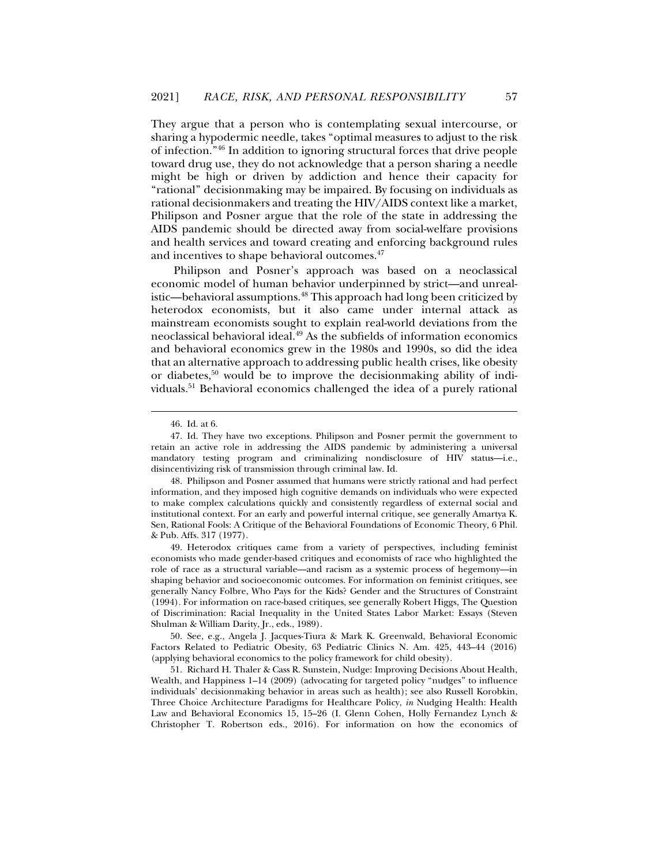They argue that a person who is contemplating sexual intercourse, or sharing a hypodermic needle, takes "optimal measures to adjust to the risk of infection."46 In addition to ignoring structural forces that drive people toward drug use, they do not acknowledge that a person sharing a needle might be high or driven by addiction and hence their capacity for "rational" decisionmaking may be impaired. By focusing on individuals as rational decisionmakers and treating the HIV/AIDS context like a market, Philipson and Posner argue that the role of the state in addressing the AIDS pandemic should be directed away from social-welfare provisions and health services and toward creating and enforcing background rules and incentives to shape behavioral outcomes.47

Philipson and Posner's approach was based on a neoclassical economic model of human behavior underpinned by strict—and unrealistic—behavioral assumptions.<sup>48</sup> This approach had long been criticized by heterodox economists, but it also came under internal attack as mainstream economists sought to explain real-world deviations from the neoclassical behavioral ideal.49 As the subfields of information economics and behavioral economics grew in the 1980s and 1990s, so did the idea that an alternative approach to addressing public health crises, like obesity or diabetes,<sup>50</sup> would be to improve the decisionmaking ability of individuals.51 Behavioral economics challenged the idea of a purely rational

 <sup>46.</sup> Id. at 6.

 <sup>47.</sup> Id. They have two exceptions. Philipson and Posner permit the government to retain an active role in addressing the AIDS pandemic by administering a universal mandatory testing program and criminalizing nondisclosure of HIV status—i.e., disincentivizing risk of transmission through criminal law. Id.

 <sup>48.</sup> Philipson and Posner assumed that humans were strictly rational and had perfect information, and they imposed high cognitive demands on individuals who were expected to make complex calculations quickly and consistently regardless of external social and institutional context. For an early and powerful internal critique, see generally Amartya K. Sen, Rational Fools: A Critique of the Behavioral Foundations of Economic Theory, 6 Phil. & Pub. Affs. 317 (1977).

 <sup>49.</sup> Heterodox critiques came from a variety of perspectives, including feminist economists who made gender-based critiques and economists of race who highlighted the role of race as a structural variable—and racism as a systemic process of hegemony—in shaping behavior and socioeconomic outcomes. For information on feminist critiques, see generally Nancy Folbre, Who Pays for the Kids? Gender and the Structures of Constraint (1994). For information on race-based critiques, see generally Robert Higgs, The Question of Discrimination: Racial Inequality in the United States Labor Market: Essays (Steven Shulman & William Darity, Jr., eds., 1989).

 <sup>50.</sup> See, e.g., Angela J. Jacques-Tiura & Mark K. Greenwald, Behavioral Economic Factors Related to Pediatric Obesity, 63 Pediatric Clinics N. Am. 425, 443–44 (2016) (applying behavioral economics to the policy framework for child obesity).

 <sup>51.</sup> Richard H. Thaler & Cass R. Sunstein, Nudge: Improving Decisions About Health, Wealth, and Happiness 1–14 (2009) (advocating for targeted policy "nudges" to influence individuals' decisionmaking behavior in areas such as health); see also Russell Korobkin, Three Choice Architecture Paradigms for Healthcare Policy, *in* Nudging Health: Health Law and Behavioral Economics 15, 15–26 (I. Glenn Cohen, Holly Fernandez Lynch & Christopher T. Robertson eds., 2016). For information on how the economics of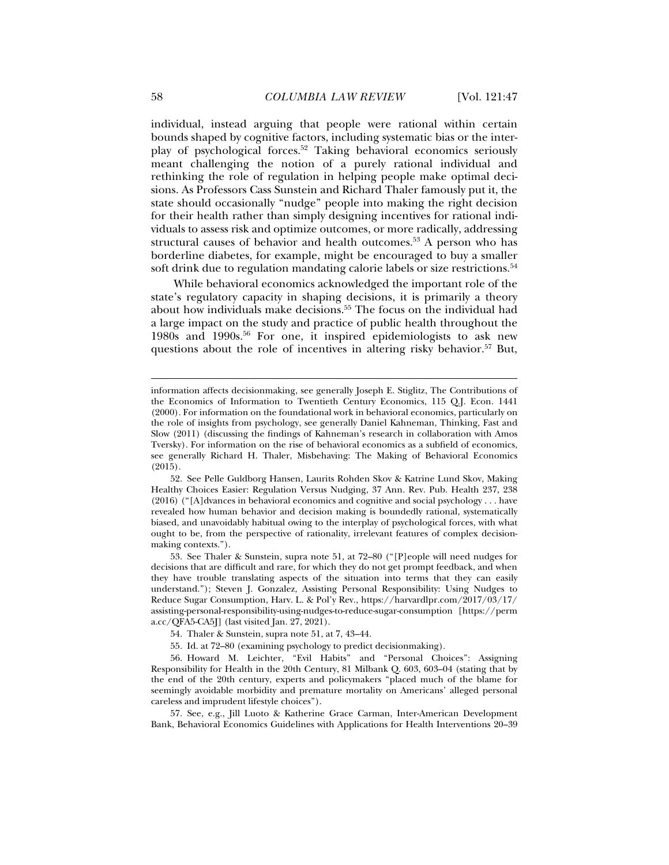individual, instead arguing that people were rational within certain bounds shaped by cognitive factors, including systematic bias or the interplay of psychological forces.52 Taking behavioral economics seriously meant challenging the notion of a purely rational individual and rethinking the role of regulation in helping people make optimal decisions. As Professors Cass Sunstein and Richard Thaler famously put it, the state should occasionally "nudge" people into making the right decision for their health rather than simply designing incentives for rational individuals to assess risk and optimize outcomes, or more radically, addressing structural causes of behavior and health outcomes.<sup>53</sup> A person who has borderline diabetes, for example, might be encouraged to buy a smaller soft drink due to regulation mandating calorie labels or size restrictions.<sup>54</sup>

While behavioral economics acknowledged the important role of the state's regulatory capacity in shaping decisions, it is primarily a theory about how individuals make decisions.<sup>55</sup> The focus on the individual had a large impact on the study and practice of public health throughout the 1980s and 1990s.56 For one, it inspired epidemiologists to ask new questions about the role of incentives in altering risky behavior.<sup>57</sup> But,

information affects decisionmaking, see generally Joseph E. Stiglitz, The Contributions of the Economics of Information to Twentieth Century Economics, 115 Q.J. Econ. 1441 (2000). For information on the foundational work in behavioral economics, particularly on the role of insights from psychology, see generally Daniel Kahneman, Thinking, Fast and Slow (2011) (discussing the findings of Kahneman's research in collaboration with Amos Tversky). For information on the rise of behavioral economics as a subfield of economics, see generally Richard H. Thaler, Misbehaving: The Making of Behavioral Economics (2015).

 <sup>52.</sup> See Pelle Guldborg Hansen, Laurits Rohden Skov & Katrine Lund Skov, Making Healthy Choices Easier: Regulation Versus Nudging, 37 Ann. Rev. Pub. Health 237, 238 (2016) ("[A]dvances in behavioral economics and cognitive and social psychology . . . have revealed how human behavior and decision making is boundedly rational, systematically biased, and unavoidably habitual owing to the interplay of psychological forces, with what ought to be, from the perspective of rationality, irrelevant features of complex decisionmaking contexts.").

 <sup>53.</sup> See Thaler & Sunstein, supra note 51, at 72–80 ("[P]eople will need nudges for decisions that are difficult and rare, for which they do not get prompt feedback, and when they have trouble translating aspects of the situation into terms that they can easily understand."); Steven J. Gonzalez, Assisting Personal Responsibility: Using Nudges to Reduce Sugar Consumption, Harv. L. & Pol'y Rev., https://harvardlpr.com/2017/03/17/ assisting-personal-responsibility-using-nudges-to-reduce-sugar-consumption [https://perm a.cc/QFA5-CA5J] (last visited Jan. 27, 2021).

 <sup>54.</sup> Thaler & Sunstein, supra note 51, at 7, 43–44.

 <sup>55.</sup> Id. at 72–80 (examining psychology to predict decisionmaking).

 <sup>56.</sup> Howard M. Leichter, "Evil Habits" and "Personal Choices": Assigning Responsibility for Health in the 20th Century, 81 Milbank Q. 603, 603–04 (stating that by the end of the 20th century, experts and policymakers "placed much of the blame for seemingly avoidable morbidity and premature mortality on Americans' alleged personal careless and imprudent lifestyle choices").

 <sup>57.</sup> See, e.g., Jill Luoto & Katherine Grace Carman, Inter-American Development Bank, Behavioral Economics Guidelines with Applications for Health Interventions 20–39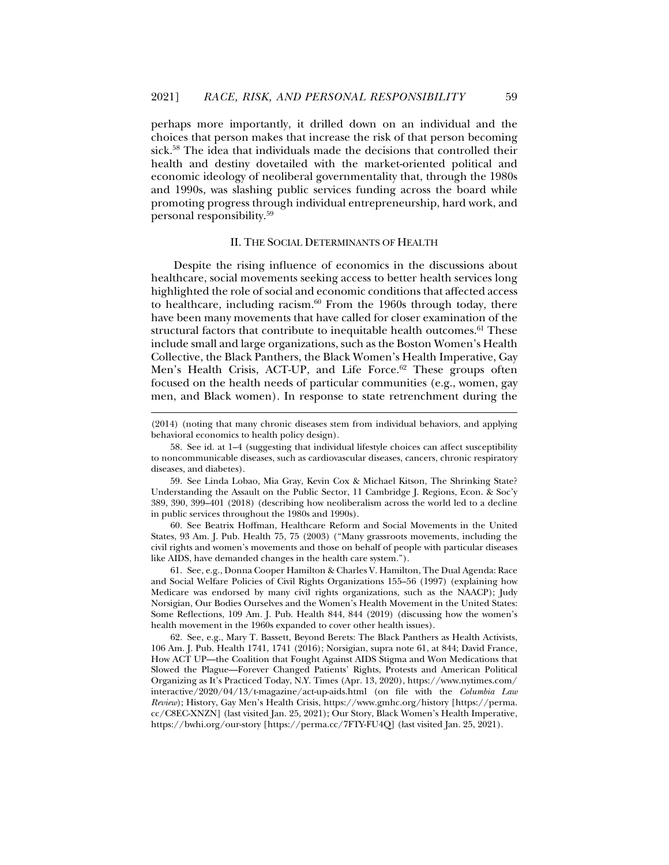perhaps more importantly, it drilled down on an individual and the choices that person makes that increase the risk of that person becoming sick.<sup>58</sup> The idea that individuals made the decisions that controlled their health and destiny dovetailed with the market-oriented political and economic ideology of neoliberal governmentality that, through the 1980s and 1990s, was slashing public services funding across the board while promoting progress through individual entrepreneurship, hard work, and personal responsibility.59

### II. THE SOCIAL DETERMINANTS OF HEALTH

Despite the rising influence of economics in the discussions about healthcare, social movements seeking access to better health services long highlighted the role of social and economic conditions that affected access to healthcare, including racism. $60$  From the 1960s through today, there have been many movements that have called for closer examination of the structural factors that contribute to inequitable health outcomes.<sup>61</sup> These include small and large organizations, such as the Boston Women's Health Collective, the Black Panthers, the Black Women's Health Imperative, Gay Men's Health Crisis, ACT-UP, and Life Force. $62$  These groups often focused on the health needs of particular communities (e.g., women, gay men, and Black women). In response to state retrenchment during the

j

 60. See Beatrix Hoffman, Healthcare Reform and Social Movements in the United States, 93 Am. J. Pub. Health 75, 75 (2003) ("Many grassroots movements, including the civil rights and women's movements and those on behalf of people with particular diseases like AIDS, have demanded changes in the health care system.").

 61. See, e.g., Donna Cooper Hamilton & Charles V. Hamilton, The Dual Agenda: Race and Social Welfare Policies of Civil Rights Organizations 155–56 (1997) (explaining how Medicare was endorsed by many civil rights organizations, such as the NAACP); Judy Norsigian, Our Bodies Ourselves and the Women's Health Movement in the United States: Some Reflections, 109 Am. J. Pub. Health 844, 844 (2019) (discussing how the women's health movement in the 1960s expanded to cover other health issues).

 62. See, e.g., Mary T. Bassett, Beyond Berets: The Black Panthers as Health Activists, 106 Am. J. Pub. Health 1741, 1741 (2016); Norsigian, supra note 61, at 844; David France, How ACT UP—the Coalition that Fought Against AIDS Stigma and Won Medications that Slowed the Plague—Forever Changed Patients' Rights, Protests and American Political Organizing as It's Practiced Today, N.Y. Times (Apr. 13, 2020), https://www.nytimes.com/ interactive/2020/04/13/t-magazine/act-up-aids.html (on file with the *Columbia Law Review*); History, Gay Men's Health Crisis, https://www.gmhc.org/history [https://perma. cc/C8EC-XNZN] (last visited Jan. 25, 2021); Our Story, Black Women's Health Imperative, https://bwhi.org/our-story [https://perma.cc/7FTY-FU4Q] (last visited Jan. 25, 2021).

<sup>(2014) (</sup>noting that many chronic diseases stem from individual behaviors, and applying behavioral economics to health policy design).

 <sup>58.</sup> See id. at 1–4 (suggesting that individual lifestyle choices can affect susceptibility to noncommunicable diseases, such as cardiovascular diseases, cancers, chronic respiratory diseases, and diabetes).

 <sup>59.</sup> See Linda Lobao, Mia Gray, Kevin Cox & Michael Kitson, The Shrinking State? Understanding the Assault on the Public Sector, 11 Cambridge J. Regions, Econ. & Soc'y 389, 390, 399–401 (2018) (describing how neoliberalism across the world led to a decline in public services throughout the 1980s and 1990s).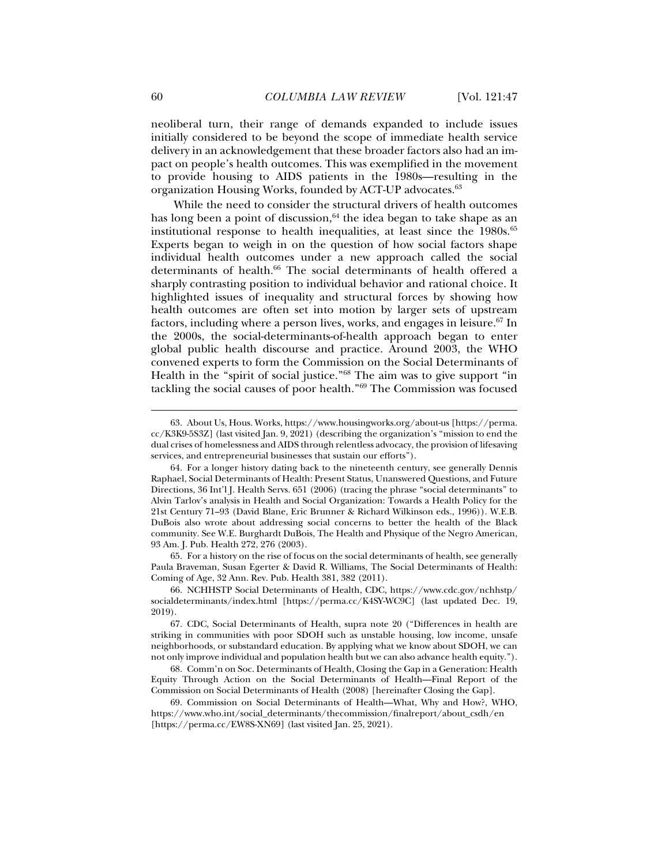neoliberal turn, their range of demands expanded to include issues initially considered to be beyond the scope of immediate health service delivery in an acknowledgement that these broader factors also had an impact on people's health outcomes. This was exemplified in the movement to provide housing to AIDS patients in the 1980s—resulting in the organization Housing Works, founded by ACT-UP advocates.63

While the need to consider the structural drivers of health outcomes has long been a point of discussion,  $64$  the idea began to take shape as an institutional response to health inequalities, at least since the  $1980s$ .<sup>65</sup> Experts began to weigh in on the question of how social factors shape individual health outcomes under a new approach called the social determinants of health.<sup>66</sup> The social determinants of health offered a sharply contrasting position to individual behavior and rational choice. It highlighted issues of inequality and structural forces by showing how health outcomes are often set into motion by larger sets of upstream factors, including where a person lives, works, and engages in leisure.<sup>67</sup> In the 2000s, the social-determinants-of-health approach began to enter global public health discourse and practice. Around 2003, the WHO convened experts to form the Commission on the Social Determinants of Health in the "spirit of social justice."68 The aim was to give support "in tackling the social causes of poor health."69 The Commission was focused

 65. For a history on the rise of focus on the social determinants of health, see generally Paula Braveman, Susan Egerter & David R. Williams, The Social Determinants of Health: Coming of Age, 32 Ann. Rev. Pub. Health 381, 382 (2011).

 <sup>63.</sup> About Us, Hous. Works, https://www.housingworks.org/about-us [https://perma. cc/K3K9-5S3Z] (last visited Jan. 9, 2021) (describing the organization's "mission to end the dual crises of homelessness and AIDS through relentless advocacy, the provision of lifesaving services, and entrepreneurial businesses that sustain our efforts").

 <sup>64.</sup> For a longer history dating back to the nineteenth century, see generally Dennis Raphael, Social Determinants of Health: Present Status, Unanswered Questions, and Future Directions, 36 Int'l J. Health Servs. 651 (2006) (tracing the phrase "social determinants" to Alvin Tarlov's analysis in Health and Social Organization: Towards a Health Policy for the 21st Century 71–93 (David Blane, Eric Brunner & Richard Wilkinson eds., 1996)). W.E.B. DuBois also wrote about addressing social concerns to better the health of the Black community. See W.E. Burghardt DuBois, The Health and Physique of the Negro American, 93 Am. J. Pub. Health 272, 276 (2003).

 <sup>66.</sup> NCHHSTP Social Determinants of Health, CDC, https://www.cdc.gov/nchhstp/ socialdeterminants/index.html [https://perma.cc/K4SY-WC9C] (last updated Dec. 19, 2019).

 <sup>67.</sup> CDC, Social Determinants of Health, supra note 20 ("Differences in health are striking in communities with poor SDOH such as unstable housing, low income, unsafe neighborhoods, or substandard education. By applying what we know about SDOH, we can not only improve individual and population health but we can also advance health equity.").

 <sup>68.</sup> Comm'n on Soc. Determinants of Health, Closing the Gap in a Generation: Health Equity Through Action on the Social Determinants of Health—Final Report of the Commission on Social Determinants of Health (2008) [hereinafter Closing the Gap].

 <sup>69.</sup> Commission on Social Determinants of Health—What, Why and How?, WHO, https://www.who.int/social\_determinants/thecommission/finalreport/about\_csdh/en [https://perma.cc/EW8S-XN69] (last visited Jan. 25, 2021).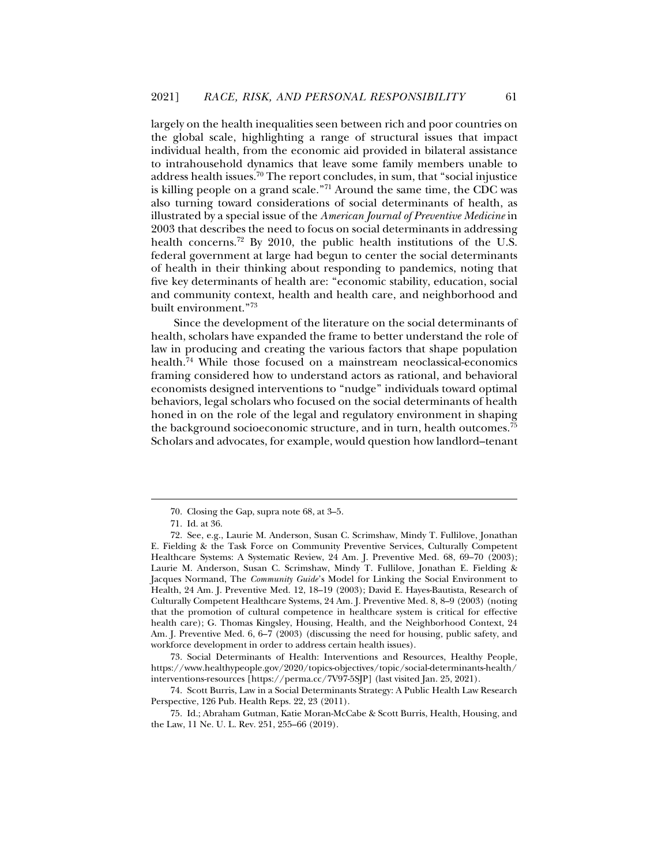largely on the health inequalities seen between rich and poor countries on the global scale, highlighting a range of structural issues that impact individual health, from the economic aid provided in bilateral assistance to intrahousehold dynamics that leave some family members unable to address health issues.70 The report concludes, in sum, that "social injustice is killing people on a grand scale."71 Around the same time, the CDC was also turning toward considerations of social determinants of health, as illustrated by a special issue of the *American Journal of Preventive Medicine* in 2003 that describes the need to focus on social determinants in addressing health concerns.<sup>72</sup> By 2010, the public health institutions of the U.S. federal government at large had begun to center the social determinants of health in their thinking about responding to pandemics, noting that five key determinants of health are: "economic stability, education, social and community context, health and health care, and neighborhood and built environment."73

Since the development of the literature on the social determinants of health, scholars have expanded the frame to better understand the role of law in producing and creating the various factors that shape population health.74 While those focused on a mainstream neoclassical-economics framing considered how to understand actors as rational, and behavioral economists designed interventions to "nudge" individuals toward optimal behaviors, legal scholars who focused on the social determinants of health honed in on the role of the legal and regulatory environment in shaping the background socioeconomic structure, and in turn, health outcomes.<sup>75</sup> Scholars and advocates, for example, would question how landlord–tenant

j

 73. Social Determinants of Health: Interventions and Resources, Healthy People, https://www.healthypeople.gov/2020/topics-objectives/topic/social-determinants-health/ interventions-resources [https://perma.cc/7V97-5SJP] (last visited Jan. 25, 2021).

 74. Scott Burris, Law in a Social Determinants Strategy: A Public Health Law Research Perspective, 126 Pub. Health Reps. 22, 23 (2011).

 <sup>70.</sup> Closing the Gap, supra note 68, at 3–5.

 <sup>71.</sup> Id. at 36.

 <sup>72.</sup> See, e.g., Laurie M. Anderson, Susan C. Scrimshaw, Mindy T. Fullilove, Jonathan E. Fielding & the Task Force on Community Preventive Services, Culturally Competent Healthcare Systems: A Systematic Review, 24 Am. J. Preventive Med. 68, 69–70 (2003); Laurie M. Anderson, Susan C. Scrimshaw, Mindy T. Fullilove, Jonathan E. Fielding & Jacques Normand, The *Community Guide*'s Model for Linking the Social Environment to Health, 24 Am. J. Preventive Med. 12, 18–19 (2003); David E. Hayes-Bautista, Research of Culturally Competent Healthcare Systems, 24 Am. J. Preventive Med. 8, 8–9 (2003) (noting that the promotion of cultural competence in healthcare system is critical for effective health care); G. Thomas Kingsley, Housing, Health, and the Neighborhood Context, 24 Am. J. Preventive Med. 6, 6–7 (2003) (discussing the need for housing, public safety, and workforce development in order to address certain health issues).

 <sup>75.</sup> Id.; Abraham Gutman, Katie Moran-McCabe & Scott Burris, Health, Housing, and the Law, 11 Ne. U. L. Rev. 251, 255–66 (2019).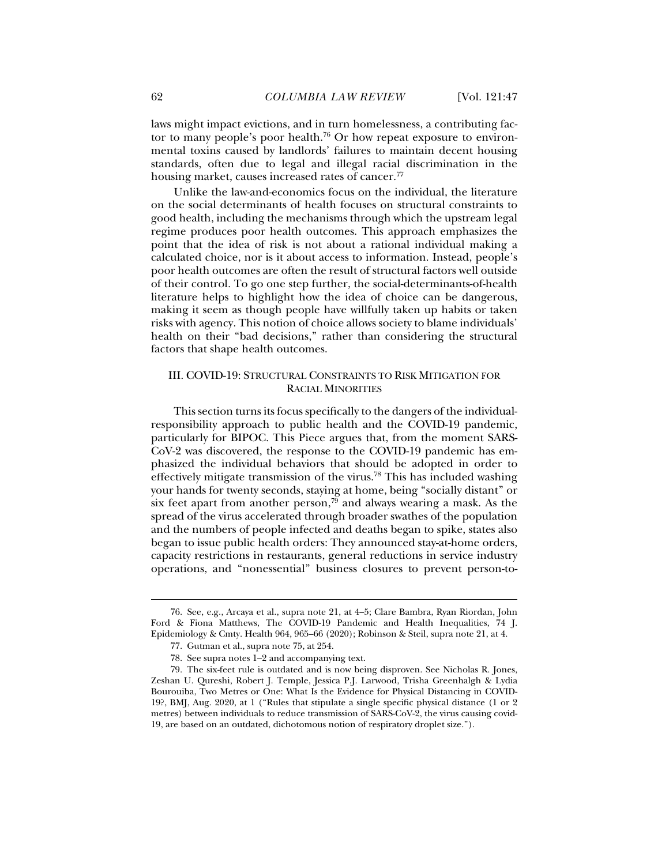laws might impact evictions, and in turn homelessness, a contributing factor to many people's poor health.<sup>76</sup> Or how repeat exposure to environmental toxins caused by landlords' failures to maintain decent housing standards, often due to legal and illegal racial discrimination in the housing market, causes increased rates of cancer.<sup>77</sup>

Unlike the law-and-economics focus on the individual, the literature on the social determinants of health focuses on structural constraints to good health, including the mechanisms through which the upstream legal regime produces poor health outcomes. This approach emphasizes the point that the idea of risk is not about a rational individual making a calculated choice, nor is it about access to information. Instead, people's poor health outcomes are often the result of structural factors well outside of their control. To go one step further, the social-determinants-of-health literature helps to highlight how the idea of choice can be dangerous, making it seem as though people have willfully taken up habits or taken risks with agency. This notion of choice allows society to blame individuals' health on their "bad decisions," rather than considering the structural factors that shape health outcomes.

## III. COVID-19: STRUCTURAL CONSTRAINTS TO RISK MITIGATION FOR RACIAL MINORITIES

This section turns its focus specifically to the dangers of the individualresponsibility approach to public health and the COVID-19 pandemic, particularly for BIPOC. This Piece argues that, from the moment SARS-CoV-2 was discovered, the response to the COVID-19 pandemic has emphasized the individual behaviors that should be adopted in order to effectively mitigate transmission of the virus.78 This has included washing your hands for twenty seconds, staying at home, being "socially distant" or six feet apart from another person,<sup>79</sup> and always wearing a mask. As the spread of the virus accelerated through broader swathes of the population and the numbers of people infected and deaths began to spike, states also began to issue public health orders: They announced stay-at-home orders, capacity restrictions in restaurants, general reductions in service industry operations, and "nonessential" business closures to prevent person-to-

 <sup>76.</sup> See, e.g., Arcaya et al., supra note 21, at 4–5; Clare Bambra, Ryan Riordan, John Ford & Fiona Matthews, The COVID-19 Pandemic and Health Inequalities, 74 J. Epidemiology & Cmty. Health 964, 965–66 (2020); Robinson & Steil, supra note 21, at 4.

 <sup>77.</sup> Gutman et al., supra note 75, at 254.

 <sup>78.</sup> See supra notes 1–2 and accompanying text.

 <sup>79.</sup> The six-feet rule is outdated and is now being disproven. See Nicholas R. Jones, Zeshan U. Qureshi, Robert J. Temple, Jessica P.J. Larwood, Trisha Greenhalgh & Lydia Bourouiba, Two Metres or One: What Is the Evidence for Physical Distancing in COVID-19?, BMJ, Aug. 2020, at 1 ("Rules that stipulate a single specific physical distance (1 or 2 metres) between individuals to reduce transmission of SARS-CoV-2, the virus causing covid-19, are based on an outdated, dichotomous notion of respiratory droplet size.").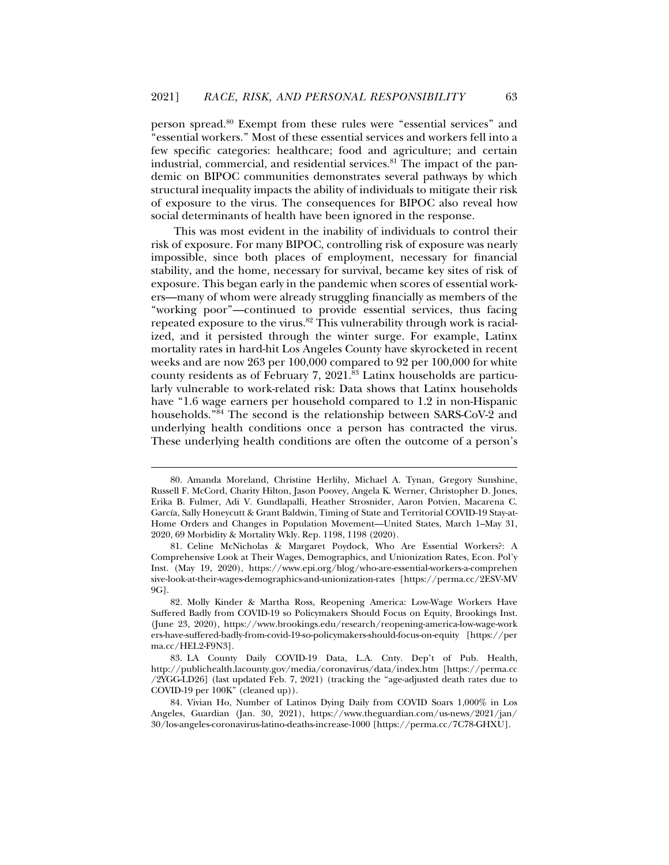person spread.80 Exempt from these rules were "essential services" and "essential workers." Most of these essential services and workers fell into a few specific categories: healthcare; food and agriculture; and certain industrial, commercial, and residential services. $81$  The impact of the pandemic on BIPOC communities demonstrates several pathways by which structural inequality impacts the ability of individuals to mitigate their risk of exposure to the virus. The consequences for BIPOC also reveal how social determinants of health have been ignored in the response.

This was most evident in the inability of individuals to control their risk of exposure. For many BIPOC, controlling risk of exposure was nearly impossible, since both places of employment, necessary for financial stability, and the home, necessary for survival, became key sites of risk of exposure. This began early in the pandemic when scores of essential workers—many of whom were already struggling financially as members of the "working poor"—continued to provide essential services, thus facing repeated exposure to the virus.<sup>82</sup> This vulnerability through work is racialized, and it persisted through the winter surge. For example, Latinx mortality rates in hard-hit Los Angeles County have skyrocketed in recent weeks and are now 263 per 100,000 compared to 92 per 100,000 for white county residents as of February 7, 2021.83 Latinx households are particularly vulnerable to work-related risk: Data shows that Latinx households have "1.6 wage earners per household compared to 1.2 in non-Hispanic households."84 The second is the relationship between SARS-CoV-2 and underlying health conditions once a person has contracted the virus. These underlying health conditions are often the outcome of a person's

 <sup>80.</sup> Amanda Moreland, Christine Herlihy, Michael A. Tynan, Gregory Sunshine, Russell F. McCord, Charity Hilton, Jason Poovey, Angela K. Werner, Christopher D. Jones, Erika B. Fulmer, Adi V. Gundlapalli, Heather Strosnider, Aaron Potvien, Macarena C. García, Sally Honeycutt & Grant Baldwin, Timing of State and Territorial COVID-19 Stay-at-Home Orders and Changes in Population Movement—United States, March 1–May 31, 2020, 69 Morbidity & Mortality Wkly. Rep. 1198, 1198 (2020).

 <sup>81.</sup> Celine McNicholas & Margaret Poydock, Who Are Essential Workers?: A Comprehensive Look at Their Wages, Demographics, and Unionization Rates, Econ. Pol'y Inst. (May 19, 2020), https://www.epi.org/blog/who-are-essential-workers-a-comprehen sive-look-at-their-wages-demographics-and-unionization-rates [https://perma.cc/2ESV-MV 9G].

 <sup>82.</sup> Molly Kinder & Martha Ross, Reopening America: Low-Wage Workers Have Suffered Badly from COVID-19 so Policymakers Should Focus on Equity, Brookings Inst. (June 23, 2020), https://www.brookings.edu/research/reopening-america-low-wage-work ers-have-suffered-badly-from-covid-19-so-policymakers-should-focus-on-equity [https://per ma.cc/HEL2-F9N3].

 <sup>83.</sup> LA County Daily COVID-19 Data, L.A. Cnty. Dep't of Pub. Health, http://publichealth.lacounty.gov/media/coronavirus/data/index.htm [https://perma.cc /2YGG-LD26] (last updated Feb. 7, 2021) (tracking the "age-adjusted death rates due to COVID-19 per 100K" (cleaned up)).

 <sup>84.</sup> Vivian Ho, Number of Latinos Dying Daily from COVID Soars 1,000% in Los Angeles, Guardian (Jan. 30, 2021), https://www.theguardian.com/us-news/2021/jan/ 30/los-angeles-coronavirus-latino-deaths-increase-1000 [https://perma.cc/7C78-GHXU].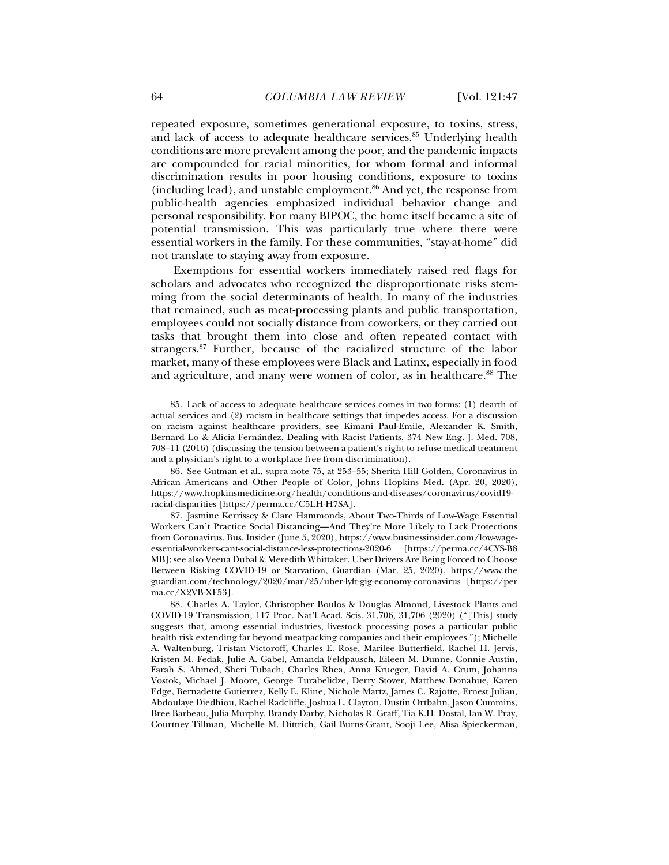repeated exposure, sometimes generational exposure, to toxins, stress, and lack of access to adequate healthcare services.<sup>85</sup> Underlying health conditions are more prevalent among the poor, and the pandemic impacts are compounded for racial minorities, for whom formal and informal discrimination results in poor housing conditions, exposure to toxins (including lead), and unstable employment.<sup>86</sup> And yet, the response from public-health agencies emphasized individual behavior change and personal responsibility. For many BIPOC, the home itself became a site of potential transmission. This was particularly true where there were essential workers in the family. For these communities, "stay-at-home" did not translate to staying away from exposure.

Exemptions for essential workers immediately raised red flags for scholars and advocates who recognized the disproportionate risks stemming from the social determinants of health. In many of the industries that remained, such as meat-processing plants and public transportation, employees could not socially distance from coworkers, or they carried out tasks that brought them into close and often repeated contact with strangers.87 Further, because of the racialized structure of the labor market, many of these employees were Black and Latinx, especially in food and agriculture, and many were women of color, as in healthcare.<sup>88</sup> The

 <sup>85.</sup> Lack of access to adequate healthcare services comes in two forms: (1) dearth of actual services and (2) racism in healthcare settings that impedes access. For a discussion on racism against healthcare providers, see Kimani Paul-Emile, Alexander K. Smith, Bernard Lo & Alicia Fernández, Dealing with Racist Patients, 374 New Eng. J. Med. 708, 708–11 (2016) (discussing the tension between a patient's right to refuse medical treatment and a physician's right to a workplace free from discrimination).

 <sup>86.</sup> See Gutman et al., supra note 75, at 253–55; Sherita Hill Golden, Coronavirus in African Americans and Other People of Color, Johns Hopkins Med. (Apr. 20, 2020), https://www.hopkinsmedicine.org/health/conditions-and-diseases/coronavirus/covid19 racial-disparities [https://perma.cc/C5LH-H7SA].

 <sup>87.</sup> Jasmine Kerrissey & Clare Hammonds, About Two-Thirds of Low-Wage Essential Workers Can't Practice Social Distancing—And They're More Likely to Lack Protections from Coronavirus, Bus. Insider (June 5, 2020), https://www.businessinsider.com/low-wageessential-workers-cant-social-distance-less-protections-2020-6 [https://perma.cc/4CYS-B8 MB]; see also Veena Dubal & Meredith Whittaker, Uber Drivers Are Being Forced to Choose Between Risking COVID-19 or Starvation, Guardian (Mar. 25, 2020), https://www.the guardian.com/technology/2020/mar/25/uber-lyft-gig-economy-coronavirus [https://per ma.cc/X2VB-XF53].

 <sup>88.</sup> Charles A. Taylor, Christopher Boulos & Douglas Almond, Livestock Plants and COVID-19 Transmission, 117 Proc. Nat'l Acad. Scis. 31,706, 31,706 (2020) ("[This] study suggests that, among essential industries, livestock processing poses a particular public health risk extending far beyond meatpacking companies and their employees."); Michelle A. Waltenburg, Tristan Victoroff, Charles E. Rose, Marilee Butterfield, Rachel H. Jervis, Kristen M. Fedak, Julie A. Gabel, Amanda Feldpausch, Eileen M. Dunne, Connie Austin, Farah S. Ahmed, Sheri Tubach, Charles Rhea, Anna Krueger, David A. Crum, Johanna Vostok, Michael J. Moore, George Turabelidze, Derry Stover, Matthew Donahue, Karen Edge, Bernadette Gutierrez, Kelly E. Kline, Nichole Martz, James C. Rajotte, Ernest Julian, Abdoulaye Diedhiou, Rachel Radcliffe, Joshua L. Clayton, Dustin Ortbahn, Jason Cummins, Bree Barbeau, Julia Murphy, Brandy Darby, Nicholas R. Graff, Tia K.H. Dostal, Ian W. Pray, Courtney Tillman, Michelle M. Dittrich, Gail Burns-Grant, Sooji Lee, Alisa Spieckerman,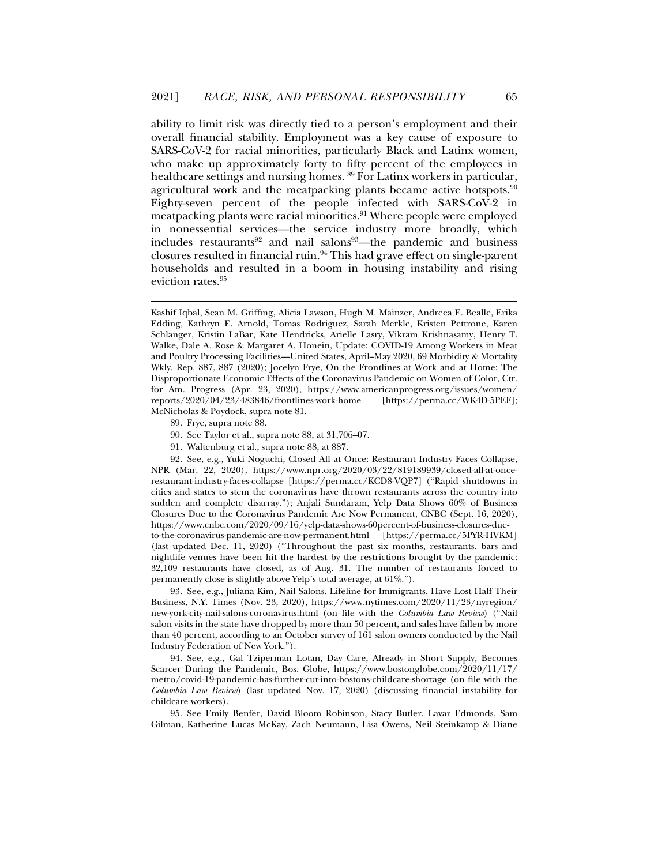ability to limit risk was directly tied to a person's employment and their overall financial stability. Employment was a key cause of exposure to SARS-CoV-2 for racial minorities, particularly Black and Latinx women, who make up approximately forty to fifty percent of the employees in healthcare settings and nursing homes. 89 For Latinx workers in particular, agricultural work and the meatpacking plants became active hotspots.<sup>90</sup> Eighty-seven percent of the people infected with SARS-CoV-2 in meatpacking plants were racial minorities.<sup>91</sup> Where people were employed in nonessential services—the service industry more broadly, which includes restaurants<sup>92</sup> and nail salons<sup>93</sup>—the pandemic and business closures resulted in financial ruin.94 This had grave effect on single-parent households and resulted in a boom in housing instability and rising eviction rates.<sup>95</sup>

89. Frye, supra note 88.

j

91. Waltenburg et al., supra note 88, at 887.

 92. See, e.g., Yuki Noguchi, Closed All at Once: Restaurant Industry Faces Collapse, NPR (Mar. 22, 2020), https://www.npr.org/2020/03/22/819189939/closed-all-at-oncerestaurant-industry-faces-collapse [https://perma.cc/KCD8-VQP7] ("Rapid shutdowns in cities and states to stem the coronavirus have thrown restaurants across the country into sudden and complete disarray."); Anjali Sundaram, Yelp Data Shows 60% of Business Closures Due to the Coronavirus Pandemic Are Now Permanent, CNBC (Sept. 16, 2020), https://www.cnbc.com/2020/09/16/yelp-data-shows-60percent-of-business-closures-dueto-the-coronavirus-pandemic-are-now-permanent.html [https://perma.cc/5PYR-HVKM] (last updated Dec. 11, 2020) ("Throughout the past six months, restaurants, bars and nightlife venues have been hit the hardest by the restrictions brought by the pandemic: 32,109 restaurants have closed, as of Aug. 31. The number of restaurants forced to permanently close is slightly above Yelp's total average, at 61%.").

 93. See, e.g., Juliana Kim, Nail Salons, Lifeline for Immigrants, Have Lost Half Their Business, N.Y. Times (Nov. 23, 2020), https://www.nytimes.com/2020/11/23/nyregion/ new-york-city-nail-salons-coronavirus.html (on file with the *Columbia Law Review*) ("Nail salon visits in the state have dropped by more than 50 percent, and sales have fallen by more than 40 percent, according to an October survey of 161 salon owners conducted by the Nail Industry Federation of New York.").

 94. See, e.g., Gal Tziperman Lotan, Day Care, Already in Short Supply, Becomes Scarcer During the Pandemic, Bos. Globe, https://www.bostonglobe.com/2020/11/17/ metro/covid-19-pandemic-has-further-cut-into-bostons-childcare-shortage (on file with the *Columbia Law Review*) (last updated Nov. 17, 2020) (discussing financial instability for childcare workers).

 95. See Emily Benfer, David Bloom Robinson, Stacy Butler, Lavar Edmonds, Sam Gilman, Katherine Lucas McKay, Zach Neumann, Lisa Owens, Neil Steinkamp & Diane

Kashif Iqbal, Sean M. Griffing, Alicia Lawson, Hugh M. Mainzer, Andreea E. Bealle, Erika Edding, Kathryn E. Arnold, Tomas Rodriguez, Sarah Merkle, Kristen Pettrone, Karen Schlanger, Kristin LaBar, Kate Hendricks, Arielle Lasry, Vikram Krishnasamy, Henry T. Walke, Dale A. Rose & Margaret A. Honein, Update: COVID-19 Among Workers in Meat and Poultry Processing Facilities—United States, April–May 2020, 69 Morbidity & Mortality Wkly. Rep. 887, 887 (2020); Jocelyn Frye, On the Frontlines at Work and at Home: The Disproportionate Economic Effects of the Coronavirus Pandemic on Women of Color, Ctr. for Am. Progress (Apr. 23, 2020), https://www.americanprogress.org/issues/women/<br>reports/2020/04/23/483846/frontlines-work-home [https://perma.cc/WK4D-5PEF]; reports/2020/04/23/483846/frontlines-work-home McNicholas & Poydock, supra note 81.

 <sup>90.</sup> See Taylor et al., supra note 88, at 31,706–07.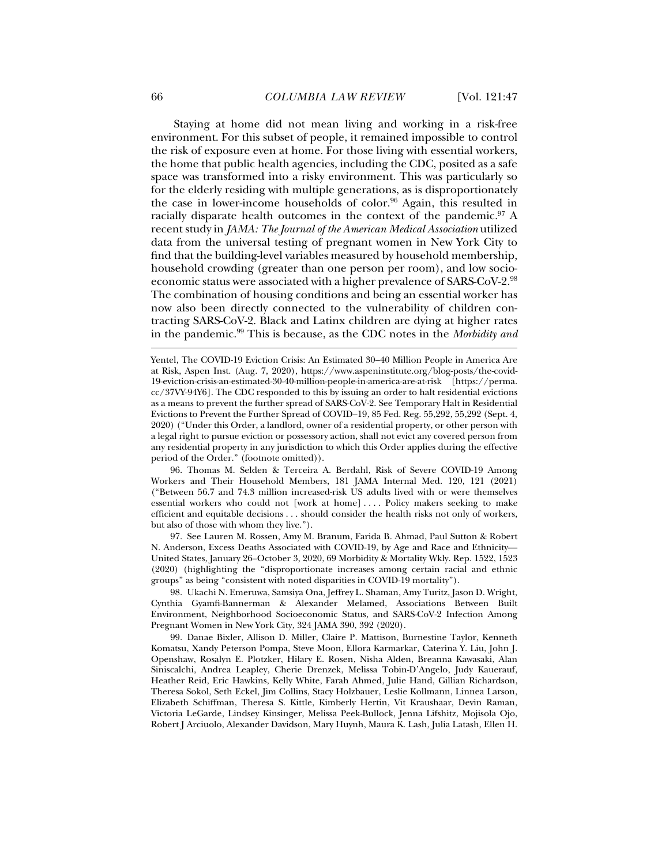Staying at home did not mean living and working in a risk-free environment. For this subset of people, it remained impossible to control the risk of exposure even at home. For those living with essential workers, the home that public health agencies, including the CDC, posited as a safe space was transformed into a risky environment. This was particularly so for the elderly residing with multiple generations, as is disproportionately the case in lower-income households of color.<sup>96</sup> Again, this resulted in racially disparate health outcomes in the context of the pandemic.<sup>97</sup> A recent study in *JAMA: The Journal of the American Medical Association* utilized data from the universal testing of pregnant women in New York City to find that the building-level variables measured by household membership, household crowding (greater than one person per room), and low socioeconomic status were associated with a higher prevalence of SARS-CoV-2.98 The combination of housing conditions and being an essential worker has now also been directly connected to the vulnerability of children contracting SARS-CoV-2. Black and Latinx children are dying at higher rates in the pandemic.99 This is because, as the CDC notes in the *Morbidity and* 

 96. Thomas M. Selden & Terceira A. Berdahl, Risk of Severe COVID-19 Among Workers and Their Household Members, 181 JAMA Internal Med. 120, 121 (2021) ("Between 56.7 and 74.3 million increased-risk US adults lived with or were themselves essential workers who could not [work at home] . . . . Policy makers seeking to make efficient and equitable decisions . . . should consider the health risks not only of workers, but also of those with whom they live.").

 97. See Lauren M. Rossen, Amy M. Branum, Farida B. Ahmad, Paul Sutton & Robert N. Anderson, Excess Deaths Associated with COVID-19, by Age and Race and Ethnicity— United States, January 26–October 3, 2020, 69 Morbidity & Mortality Wkly. Rep. 1522, 1523 (2020) (highlighting the "disproportionate increases among certain racial and ethnic groups" as being "consistent with noted disparities in COVID-19 mortality").

 98. Ukachi N. Emeruwa, Samsiya Ona, Jeffrey L. Shaman, Amy Turitz, Jason D. Wright, Cynthia Gyamfi-Bannerman & Alexander Melamed, Associations Between Built Environment, Neighborhood Socioeconomic Status, and SARS-CoV-2 Infection Among Pregnant Women in New York City, 324 JAMA 390, 392 (2020).

 99. Danae Bixler, Allison D. Miller, Claire P. Mattison, Burnestine Taylor, Kenneth Komatsu, Xandy Peterson Pompa, Steve Moon, Ellora Karmarkar, Caterina Y. Liu, John J. Openshaw, Rosalyn E. Plotzker, Hilary E. Rosen, Nisha Alden, Breanna Kawasaki, Alan Siniscalchi, Andrea Leapley, Cherie Drenzek, Melissa Tobin-D'Angelo, Judy Kauerauf, Heather Reid, Eric Hawkins, Kelly White, Farah Ahmed, Julie Hand, Gillian Richardson, Theresa Sokol, Seth Eckel, Jim Collins, Stacy Holzbauer, Leslie Kollmann, Linnea Larson, Elizabeth Schiffman, Theresa S. Kittle, Kimberly Hertin, Vit Kraushaar, Devin Raman, Victoria LeGarde, Lindsey Kinsinger, Melissa Peek-Bullock, Jenna Lifshitz, Mojisola Ojo, Robert J Arciuolo, Alexander Davidson, Mary Huynh, Maura K. Lash, Julia Latash, Ellen H.

Yentel, The COVID-19 Eviction Crisis: An Estimated 30–40 Million People in America Are at Risk, Aspen Inst. (Aug. 7, 2020), https://www.aspeninstitute.org/blog-posts/the-covid-19-eviction-crisis-an-estimated-30-40-million-people-in-america-are-at-risk [https://perma. cc/37VY-94Y6]. The CDC responded to this by issuing an order to halt residential evictions as a means to prevent the further spread of SARS-CoV-2. See Temporary Halt in Residential Evictions to Prevent the Further Spread of COVID–19, 85 Fed. Reg. 55,292, 55,292 (Sept. 4, 2020) ("Under this Order, a landlord, owner of a residential property, or other person with a legal right to pursue eviction or possessory action, shall not evict any covered person from any residential property in any jurisdiction to which this Order applies during the effective period of the Order." (footnote omitted)).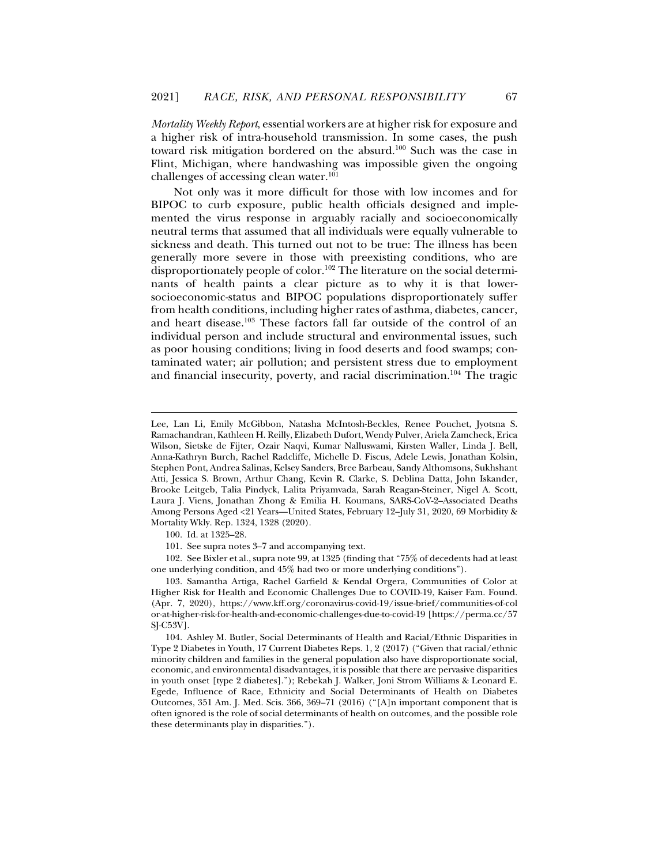*Mortality Weekly Report*, essential workers are at higher risk for exposure and a higher risk of intra-household transmission. In some cases, the push toward risk mitigation bordered on the absurd.<sup>100</sup> Such was the case in Flint, Michigan, where handwashing was impossible given the ongoing challenges of accessing clean water.101

Not only was it more difficult for those with low incomes and for BIPOC to curb exposure, public health officials designed and implemented the virus response in arguably racially and socioeconomically neutral terms that assumed that all individuals were equally vulnerable to sickness and death. This turned out not to be true: The illness has been generally more severe in those with preexisting conditions, who are disproportionately people of color.<sup>102</sup> The literature on the social determinants of health paints a clear picture as to why it is that lowersocioeconomic-status and BIPOC populations disproportionately suffer from health conditions, including higher rates of asthma, diabetes, cancer, and heart disease.103 These factors fall far outside of the control of an individual person and include structural and environmental issues, such as poor housing conditions; living in food deserts and food swamps; contaminated water; air pollution; and persistent stress due to employment and financial insecurity, poverty, and racial discrimination.104 The tragic

100. Id. at 1325–28.

j

101. See supra notes 3–7 and accompanying text.

 102. See Bixler et al., supra note 99, at 1325 (finding that "75% of decedents had at least one underlying condition, and 45% had two or more underlying conditions").

 103. Samantha Artiga, Rachel Garfield & Kendal Orgera, Communities of Color at Higher Risk for Health and Economic Challenges Due to COVID-19, Kaiser Fam. Found. (Apr. 7, 2020), https://www.kff.org/coronavirus-covid-19/issue-brief/communities-of-col or-at-higher-risk-for-health-and-economic-challenges-due-to-covid-19 [https://perma.cc/57 SJ-C53V].

 104. Ashley M. Butler, Social Determinants of Health and Racial/Ethnic Disparities in Type 2 Diabetes in Youth, 17 Current Diabetes Reps. 1, 2 (2017) ("Given that racial/ethnic minority children and families in the general population also have disproportionate social, economic, and environmental disadvantages, it is possible that there are pervasive disparities in youth onset [type 2 diabetes]."); Rebekah J. Walker, Joni Strom Williams & Leonard E. Egede, Influence of Race, Ethnicity and Social Determinants of Health on Diabetes Outcomes, 351 Am. J. Med. Scis. 366, 369–71 (2016) ("[A]n important component that is often ignored is the role of social determinants of health on outcomes, and the possible role these determinants play in disparities.").

Lee, Lan Li, Emily McGibbon, Natasha McIntosh-Beckles, Renee Pouchet, Jyotsna S. Ramachandran, Kathleen H. Reilly, Elizabeth Dufort, Wendy Pulver, Ariela Zamcheck, Erica Wilson, Sietske de Fijter, Ozair Naqvi, Kumar Nalluswami, Kirsten Waller, Linda J. Bell, Anna-Kathryn Burch, Rachel Radcliffe, Michelle D. Fiscus, Adele Lewis, Jonathan Kolsin, Stephen Pont, Andrea Salinas, Kelsey Sanders, Bree Barbeau, Sandy Althomsons, Sukhshant Atti, Jessica S. Brown, Arthur Chang, Kevin R. Clarke, S. Deblina Datta, John Iskander, Brooke Leitgeb, Talia Pindyck, Lalita Priyamvada, Sarah Reagan-Steiner, Nigel A. Scott, Laura J. Viens, Jonathan Zhong & Emilia H. Koumans, SARS-CoV-2–Associated Deaths Among Persons Aged <21 Years—United States, February 12–July 31, 2020, 69 Morbidity & Mortality Wkly. Rep. 1324, 1328 (2020).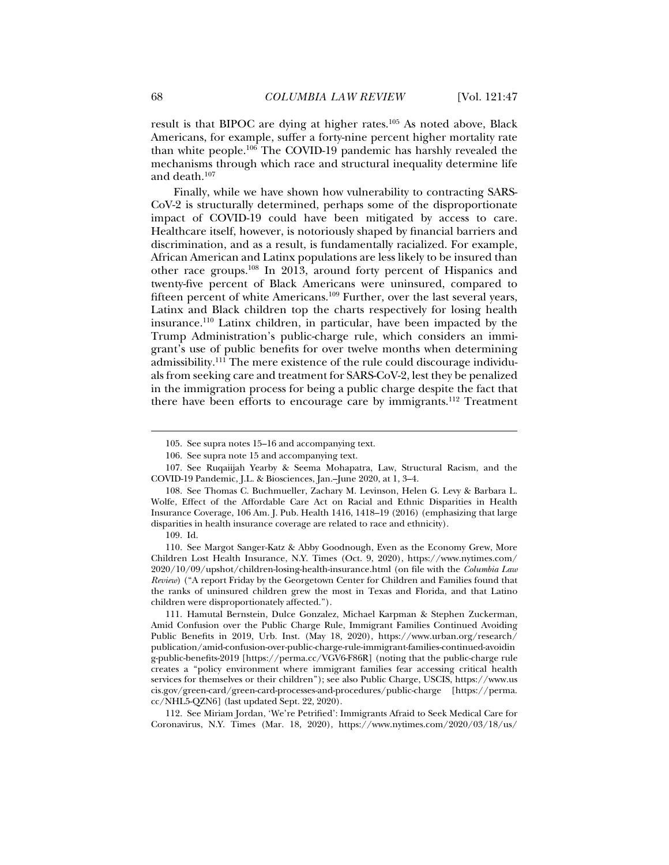result is that BIPOC are dying at higher rates.105 As noted above, Black Americans, for example, suffer a forty-nine percent higher mortality rate than white people.106 The COVID-19 pandemic has harshly revealed the mechanisms through which race and structural inequality determine life and death.107

Finally, while we have shown how vulnerability to contracting SARS-CoV-2 is structurally determined, perhaps some of the disproportionate impact of COVID-19 could have been mitigated by access to care. Healthcare itself, however, is notoriously shaped by financial barriers and discrimination, and as a result, is fundamentally racialized. For example, African American and Latinx populations are less likely to be insured than other race groups.108 In 2013, around forty percent of Hispanics and twenty-five percent of Black Americans were uninsured, compared to fifteen percent of white Americans.109 Further, over the last several years, Latinx and Black children top the charts respectively for losing health insurance.110 Latinx children, in particular, have been impacted by the Trump Administration's public-charge rule, which considers an immigrant's use of public benefits for over twelve months when determining admissibility.<sup>111</sup> The mere existence of the rule could discourage individuals from seeking care and treatment for SARS-CoV-2, lest they be penalized in the immigration process for being a public charge despite the fact that there have been efforts to encourage care by immigrants.<sup>112</sup> Treatment

j

 110. See Margot Sanger-Katz & Abby Goodnough, Even as the Economy Grew, More Children Lost Health Insurance, N.Y. Times (Oct. 9, 2020), https://www.nytimes.com/ 2020/10/09/upshot/children-losing-health-insurance.html (on file with the *Columbia Law Review*) ("A report Friday by the Georgetown Center for Children and Families found that the ranks of uninsured children grew the most in Texas and Florida, and that Latino children were disproportionately affected.").

 111. Hamutal Bernstein, Dulce Gonzalez, Michael Karpman & Stephen Zuckerman, Amid Confusion over the Public Charge Rule, Immigrant Families Continued Avoiding Public Benefits in 2019, Urb. Inst. (May 18, 2020), https://www.urban.org/research/ publication/amid-confusion-over-public-charge-rule-immigrant-families-continued-avoidin g-public-benefits-2019 [https://perma.cc/VGV6-F86R] (noting that the public-charge rule creates a "policy environment where immigrant families fear accessing critical health services for themselves or their children"); see also Public Charge, USCIS, https://www.us cis.gov/green-card/green-card-processes-and-procedures/public-charge [https://perma. cc/NHL5-QZN6] (last updated Sept. 22, 2020).

 112. See Miriam Jordan, 'We're Petrified': Immigrants Afraid to Seek Medical Care for Coronavirus, N.Y. Times (Mar. 18, 2020), https://www.nytimes.com/2020/03/18/us/

 <sup>105.</sup> See supra notes 15–16 and accompanying text.

 <sup>106.</sup> See supra note 15 and accompanying text.

 <sup>107.</sup> See Ruqaiijah Yearby & Seema Mohapatra, Law, Structural Racism, and the COVID-19 Pandemic, J.L. & Biosciences, Jan.–June 2020, at 1, 3–4.

 <sup>108.</sup> See Thomas C. Buchmueller, Zachary M. Levinson, Helen G. Levy & Barbara L. Wolfe, Effect of the Affordable Care Act on Racial and Ethnic Disparities in Health Insurance Coverage, 106 Am. J. Pub. Health 1416, 1418–19 (2016) (emphasizing that large disparities in health insurance coverage are related to race and ethnicity).

 <sup>109.</sup> Id.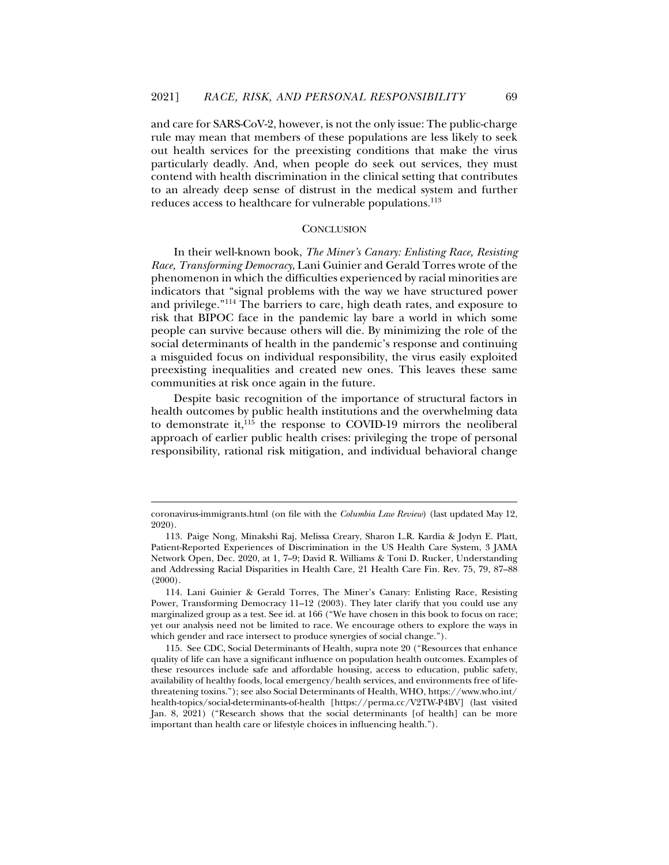and care for SARS-CoV-2, however, is not the only issue: The public-charge rule may mean that members of these populations are less likely to seek out health services for the preexisting conditions that make the virus particularly deadly. And, when people do seek out services, they must contend with health discrimination in the clinical setting that contributes to an already deep sense of distrust in the medical system and further reduces access to healthcare for vulnerable populations.113

### **CONCLUSION**

In their well-known book, *The Miner's Canary: Enlisting Race, Resisting Race, Transforming Democracy*, Lani Guinier and Gerald Torres wrote of the phenomenon in which the difficulties experienced by racial minorities are indicators that "signal problems with the way we have structured power and privilege."114 The barriers to care, high death rates, and exposure to risk that BIPOC face in the pandemic lay bare a world in which some people can survive because others will die. By minimizing the role of the social determinants of health in the pandemic's response and continuing a misguided focus on individual responsibility, the virus easily exploited preexisting inequalities and created new ones. This leaves these same communities at risk once again in the future.

Despite basic recognition of the importance of structural factors in health outcomes by public health institutions and the overwhelming data to demonstrate it, $^{115}$  the response to COVID-19 mirrors the neoliberal approach of earlier public health crises: privileging the trope of personal responsibility, rational risk mitigation, and individual behavioral change

coronavirus-immigrants.html (on file with the *Columbia Law Review*) (last updated May 12, 2020).

 <sup>113.</sup> Paige Nong, Minakshi Raj, Melissa Creary, Sharon L.R. Kardia & Jodyn E. Platt, Patient-Reported Experiences of Discrimination in the US Health Care System, 3 JAMA Network Open, Dec. 2020, at 1, 7–9; David R. Williams & Toni D. Rucker, Understanding and Addressing Racial Disparities in Health Care, 21 Health Care Fin. Rev. 75, 79, 87–88  $(2000)$ .

 <sup>114.</sup> Lani Guinier & Gerald Torres, The Miner's Canary: Enlisting Race, Resisting Power, Transforming Democracy 11–12 (2003). They later clarify that you could use any marginalized group as a test. See id. at 166 ("We have chosen in this book to focus on race; yet our analysis need not be limited to race. We encourage others to explore the ways in which gender and race intersect to produce synergies of social change.").

 <sup>115.</sup> See CDC, Social Determinants of Health, supra note 20 ("Resources that enhance quality of life can have a significant influence on population health outcomes. Examples of these resources include safe and affordable housing, access to education, public safety, availability of healthy foods, local emergency/health services, and environments free of lifethreatening toxins."); see also Social Determinants of Health, WHO, https://www.who.int/ health-topics/social-determinants-of-health [https://perma.cc/V2TW-P4BV] (last visited Jan. 8, 2021) ("Research shows that the social determinants [of health] can be more important than health care or lifestyle choices in influencing health.").